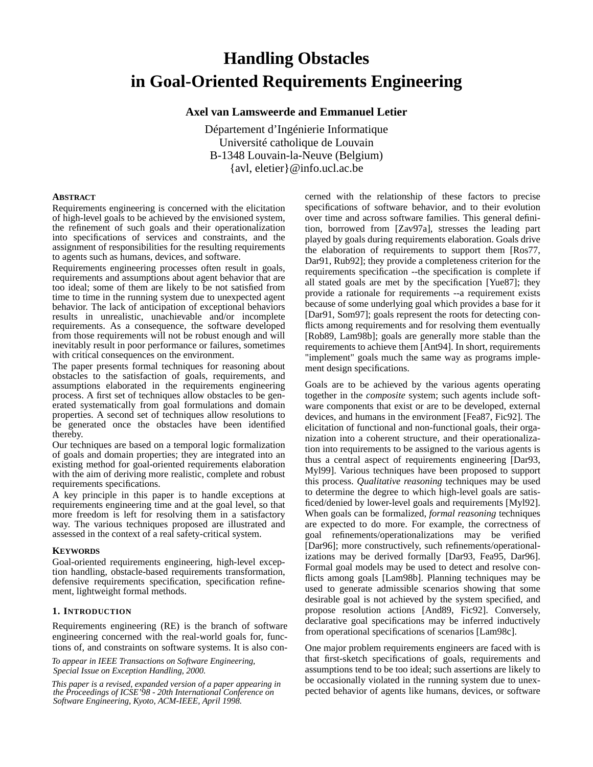# **Handling Obstacles in Goal-Oriented Requirements Engineering**

**Axel van Lamsweerde and Emmanuel Letier**

Département d'Ingénierie Informatique Université catholique de Louvain B-1348 Louvain-la-Neuve (Belgium) {avl, eletier}@info.ucl.ac.be

# **ABSTRACT**

Requirements engineering is concerned with the elicitation of high-level goals to be achieved by the envisioned system, the refinement of such goals and their operationalization into specifications of services and constraints, and the assignment of responsibilities for the resulting requirements to agents such as humans, devices, and software.

Requirements engineering processes often result in goals, requirements and assumptions about agent behavior that are too ideal; some of them are likely to be not satisfied from time to time in the running system due to unexpected agent behavior. The lack of anticipation of exceptional behaviors results in unrealistic, unachievable and/or incomplete requirements. As a consequence, the software developed from those requirements will not be robust enough and will inevitably result in poor performance or failures, sometimes with critical consequences on the environment.

The paper presents formal techniques for reasoning about obstacles to the satisfaction of goals, requirements, and assumptions elaborated in the requirements engineering process. A first set of techniques allow obstacles to be generated systematically from goal formulations and domain properties. A second set of techniques allow resolutions to be generated once the obstacles have been identified thereby.

Our techniques are based on a temporal logic formalization of goals and domain properties; they are integrated into an existing method for goal-oriented requirements elaboration with the aim of deriving more realistic, complete and robust requirements specifications.

A key principle in this paper is to handle exceptions at requirements engineering time and at the goal level, so that more freedom is left for resolving them in a satisfactory way. The various techniques proposed are illustrated and assessed in the context of a real safety-critical system.

# **KEYWORDS**

Goal-oriented requirements engineering, high-level exception handling, obstacle-based requirements transformation, defensive requirements specification, specification refinement, lightweight formal methods.

# **1. INTRODUCTION**

Requirements engineering (RE) is the branch of software engineering concerned with the real-world goals for, functions of, and constraints on software systems. It is also con-

*To appear in IEEE Transactions on Software Engineering, Special Issue on Exception Handling, 2000.*

*the Proceedings of ICSE'98 - 20th International Conference on Software Engineering, Kyoto, ACM-IEEE, April 1998.*

cerned with the relationship of these factors to precise specifications of software behavior, and to their evolution over time and across software families. This general definition, borrowed from [Zav97a], stresses the leading part played by goals during requirements elaboration. Goals drive the elaboration of requirements to support them [Ros77, Dar91, Rub92]; they provide a completeness criterion for the requirements specification --the specification is complete if all stated goals are met by the specification [Yue87]; they provide a rationale for requirements --a requirement exists because of some underlying goal which provides a base for it [Dar91, Som97]; goals represent the roots for detecting conflicts among requirements and for resolving them eventually [Rob89, Lam98b]; goals are generally more stable than the requirements to achieve them [Ant94]. In short, requirements "implement" goals much the same way as programs implement design specifications.

Goals are to be achieved by the various agents operating together in the *composite* system; such agents include software components that exist or are to be developed, external devices, and humans in the environment [Fea87, Fic92]. The elicitation of functional and non-functional goals, their organization into a coherent structure, and their operationalization into requirements to be assigned to the various agents is thus a central aspect of requirements engineering [Dar93, Myl99]. Various techniques have been proposed to support this process. *Qualitative reasoning* techniques may be used to determine the degree to which high-level goals are satisficed/denied by lower-level goals and requirements [Myl92]. When goals can be formalized, *formal reasoning* techniques are expected to do more. For example, the correctness of goal refinements/operationalizations may be verified [Dar96]; more constructively, such refinements/operationalizations may be derived formally [Dar93, Fea95, Dar96]. Formal goal models may be used to detect and resolve conflicts among goals [Lam98b]. Planning techniques may be used to generate admissible scenarios showing that some desirable goal is not achieved by the system specified, and propose resolution actions [And89, Fic92]. Conversely, declarative goal specifications may be inferred inductively from operational specifications of scenarios [Lam98c].

One major problem requirements engineers are faced with is that first-sketch specifications of goals, requirements and assumptions tend to be too ideal; such assertions are likely to be occasionally violated in the running system due to unex-This paper is a revised, expanded version of a paper appearing in<br>the Proceedings of ICSE'98 - 20th International Conference on pected behavior of agents like humans, devices, or software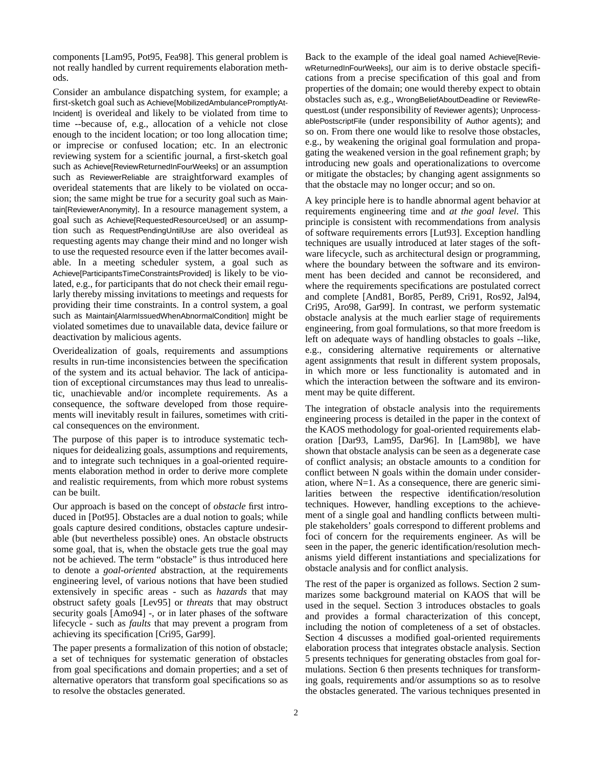components [Lam95, Pot95, Fea98]. This general problem is not really handled by current requirements elaboration methods.

Consider an ambulance dispatching system, for example; a first-sketch goal such as Achieve[MobilizedAmbulancePromptlyAt-Incident] is overideal and likely to be violated from time to time --because of, e.g., allocation of a vehicle not close enough to the incident location; or too long allocation time; or imprecise or confused location; etc. In an electronic reviewing system for a scientific journal, a first-sketch goal such as Achieve[ReviewReturnedInFourWeeks] or an assumption such as ReviewerReliable are straightforward examples of overideal statements that are likely to be violated on occasion; the same might be true for a security goal such as Maintain[ReviewerAnonymity]. In a resource management system, a goal such as Achieve[RequestedResourceUsed] or an assumption such as RequestPendingUntilUse are also overideal as requesting agents may change their mind and no longer wish to use the requested resource even if the latter becomes available. In a meeting scheduler system, a goal such as Achieve[ParticipantsTimeConstraintsProvided] is likely to be violated, e.g., for participants that do not check their email regularly thereby missing invitations to meetings and requests for providing their time constraints. In a control system, a goal such as Maintain[AlarmIssuedWhenAbnormalCondition] might be violated sometimes due to unavailable data, device failure or deactivation by malicious agents.

Overidealization of goals, requirements and assumptions results in run-time inconsistencies between the specification of the system and its actual behavior. The lack of anticipation of exceptional circumstances may thus lead to unrealistic, unachievable and/or incomplete requirements. As a consequence, the software developed from those requirements will inevitably result in failures, sometimes with critical consequences on the environment.

The purpose of this paper is to introduce systematic techniques for deidealizing goals, assumptions and requirements, and to integrate such techniques in a goal-oriented requirements elaboration method in order to derive more complete and realistic requirements, from which more robust systems can be built.

Our approach is based on the concept of *obstacle* first introduced in [Pot95]. Obstacles are a dual notion to goals; while goals capture desired conditions, obstacles capture undesirable (but nevertheless possible) ones. An obstacle obstructs some goal, that is, when the obstacle gets true the goal may not be achieved. The term "obstacle" is thus introduced here to denote a *goal-oriented* abstraction, at the requirements engineering level, of various notions that have been studied extensively in specific areas - such as *hazards* that may obstruct safety goals [Lev95] or *threats* that may obstruct security goals [Amo94] -, or in later phases of the software lifecycle - such as *faults* that may prevent a program from achieving its specification [Cri95, Gar99].

The paper presents a formalization of this notion of obstacle; a set of techniques for systematic generation of obstacles from goal specifications and domain properties; and a set of alternative operators that transform goal specifications so as to resolve the obstacles generated.

Back to the example of the ideal goal named Achieve[ReviewReturnedInFourWeeks], our aim is to derive obstacle specifications from a precise specification of this goal and from properties of the domain; one would thereby expect to obtain obstacles such as, e.g., WrongBeliefAboutDeadline or ReviewRequestLost (under responsibility of Reviewer agents); UnprocessablePostscriptFile (under responsibility of Author agents); and so on. From there one would like to resolve those obstacles, e.g., by weakening the original goal formulation and propagating the weakened version in the goal refinement graph; by introducing new goals and operationalizations to overcome or mitigate the obstacles; by changing agent assignments so that the obstacle may no longer occur; and so on.

A key principle here is to handle abnormal agent behavior at requirements engineering time and *at the goal level.* This principle is consistent with recommendations from analysis of software requirements errors [Lut93]. Exception handling techniques are usually introduced at later stages of the software lifecycle, such as architectural design or programming, where the boundary between the software and its environment has been decided and cannot be reconsidered, and where the requirements specifications are postulated correct and complete [And81, Bor85, Per89, Cri91, Ros92, Jal94, Cri95, Aro98, Gar99]. In contrast, we perform systematic obstacle analysis at the much earlier stage of requirements engineering, from goal formulations, so that more freedom is left on adequate ways of handling obstacles to goals --like, e.g., considering alternative requirements or alternative agent assignments that result in different system proposals, in which more or less functionality is automated and in which the interaction between the software and its environment may be quite different.

The integration of obstacle analysis into the requirements engineering process is detailed in the paper in the context of the KAOS methodology for goal-oriented requirements elaboration [Dar93, Lam95, Dar96]. In [Lam98b], we have shown that obstacle analysis can be seen as a degenerate case of conflict analysis; an obstacle amounts to a condition for conflict between N goals within the domain under consideration, where  $N=1$ . As a consequence, there are generic similarities between the respective identification/resolution techniques. However, handling exceptions to the achievement of a single goal and handling conflicts between multiple stakeholders' goals correspond to different problems and foci of concern for the requirements engineer. As will be seen in the paper, the generic identification/resolution mechanisms yield different instantiations and specializations for obstacle analysis and for conflict analysis.

The rest of the paper is organized as follows. Section 2 summarizes some background material on KAOS that will be used in the sequel. Section 3 introduces obstacles to goals and provides a formal characterization of this concept, including the notion of completeness of a set of obstacles. Section 4 discusses a modified goal-oriented requirements elaboration process that integrates obstacle analysis. Section 5 presents techniques for generating obstacles from goal formulations. Section 6 then presents techniques for transforming goals, requirements and/or assumptions so as to resolve the obstacles generated. The various techniques presented in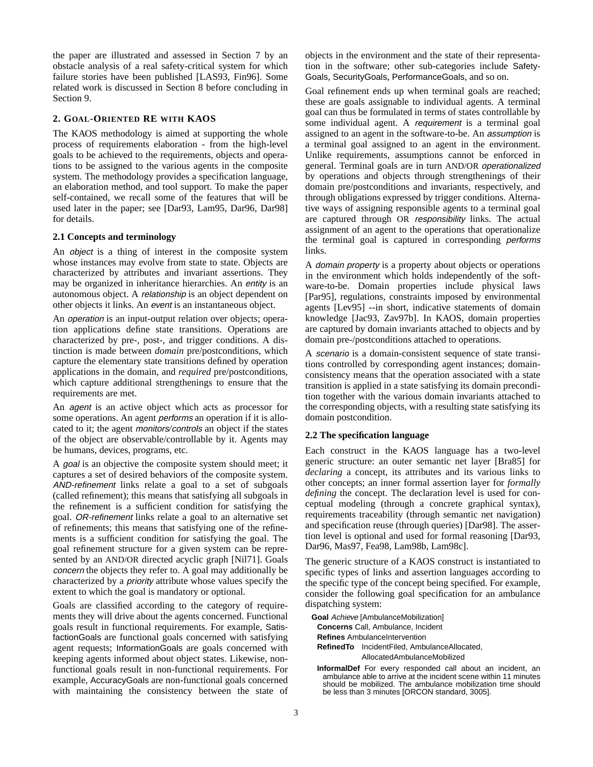the paper are illustrated and assessed in Section 7 by an obstacle analysis of a real safety-critical system for which failure stories have been published [LAS93, Fin96]. Some related work is discussed in Section 8 before concluding in Section 9.

# **2. GOAL-ORIENTED RE WITH KAOS**

The KAOS methodology is aimed at supporting the whole process of requirements elaboration - from the high-level goals to be achieved to the requirements, objects and operations to be assigned to the various agents in the composite system. The methodology provides a specification language, an elaboration method, and tool support. To make the paper self-contained, we recall some of the features that will be used later in the paper; see [Dar93, Lam95, Dar96, Dar98] for details.

#### **2.1 Concepts and terminology**

An object is a thing of interest in the composite system whose instances may evolve from state to state. Objects are characterized by attributes and invariant assertions. They may be organized in inheritance hierarchies. An entity is an autonomous object. A relationship is an object dependent on other objects it links. An event is an instantaneous object.

An operation is an input-output relation over objects; operation applications define state transitions. Operations are characterized by pre-, post-, and trigger conditions. A distinction is made between *domain* pre/postconditions, which capture the elementary state transitions defined by operation applications in the domain, and *required* pre/postconditions, which capture additional strengthenings to ensure that the requirements are met.

An agent is an active object which acts as processor for some operations. An agent performs an operation if it is allocated to it; the agent monitors*/*controls an object if the states of the object are observable/controllable by it. Agents may be humans, devices, programs, etc.

A goal is an objective the composite system should meet; it captures a set of desired behaviors of the composite system. AND-refinement links relate a goal to a set of subgoals (called refinement); this means that satisfying all subgoals in the refinement is a sufficient condition for satisfying the goal. OR-refinement links relate a goal to an alternative set of refinements; this means that satisfying one of the refinements is a sufficient condition for satisfying the goal. The goal refinement structure for a given system can be represented by an AND/OR directed acyclic graph [Nil71]. Goals concern the objects they refer to. A goal may additionally be characterized by a priority attribute whose values specify the extent to which the goal is mandatory or optional.

Goals are classified according to the category of requirements they will drive about the agents concerned. Functional goals result in functional requirements. For example, SatisfactionGoals are functional goals concerned with satisfying agent requests; InformationGoals are goals concerned with keeping agents informed about object states. Likewise, nonfunctional goals result in non-functional requirements. For example, AccuracyGoals are non-functional goals concerned with maintaining the consistency between the state of objects in the environment and the state of their representation in the software; other sub-categories include Safety-Goals, SecurityGoals, PerformanceGoals, and so on.

Goal refinement ends up when terminal goals are reached; these are goals assignable to individual agents. A terminal goal can thus be formulated in terms of states controllable by some individual agent. A requirement is a terminal goal assigned to an agent in the software-to-be. An assumption is a terminal goal assigned to an agent in the environment. Unlike requirements, assumptions cannot be enforced in general. Terminal goals are in turn AND/OR operationalized by operations and objects through strengthenings of their domain pre/postconditions and invariants, respectively, and through obligations expressed by trigger conditions. Alternative ways of assigning responsible agents to a terminal goal are captured through OR responsibility links. The actual assignment of an agent to the operations that operationalize the terminal goal is captured in corresponding performs links.

A domain property is a property about objects or operations in the environment which holds independently of the software-to-be. Domain properties include physical laws [Par95], regulations, constraints imposed by environmental agents [Lev95] --in short, indicative statements of domain knowledge [Jac93, Zav97b]. In KAOS, domain properties are captured by domain invariants attached to objects and by domain pre-/postconditions attached to operations.

A scenario is a domain-consistent sequence of state transitions controlled by corresponding agent instances; domainconsistency means that the operation associated with a state transition is applied in a state satisfying its domain precondition together with the various domain invariants attached to the corresponding objects, with a resulting state satisfying its domain postcondition.

# **2.2 The specification language**

Each construct in the KAOS language has a two-level generic structure: an outer semantic net layer [Bra85] for *declaring* a concept, its attributes and its various links to other concepts; an inner formal assertion layer for *formally defining* the concept. The declaration level is used for conceptual modeling (through a concrete graphical syntax), requirements traceability (through semantic net navigation) and specification reuse (through queries) [Dar98]. The assertion level is optional and used for formal reasoning [Dar93, Dar96, Mas97, Fea98, Lam98b, Lam98c].

The generic structure of a KAOS construct is instantiated to specific types of links and assertion languages according to the specific type of the concept being specified. For example, consider the following goal specification for an ambulance dispatching system:

**Goal** Achieve [AmbulanceMobilization] **Concerns** Call, Ambulance, Incident **Refines** AmbulanceIntervention **RefinedTo** IncidentFiled, AmbulanceAllocated, AllocatedAmbulanceMobilized

**InformalDef** For every responded call about an incident, an ambulance able to arrive at the incident scene within 11 minutes should be mobilized. The ambulance mobilization time should be less than 3 minutes [ORCON standard, 3005].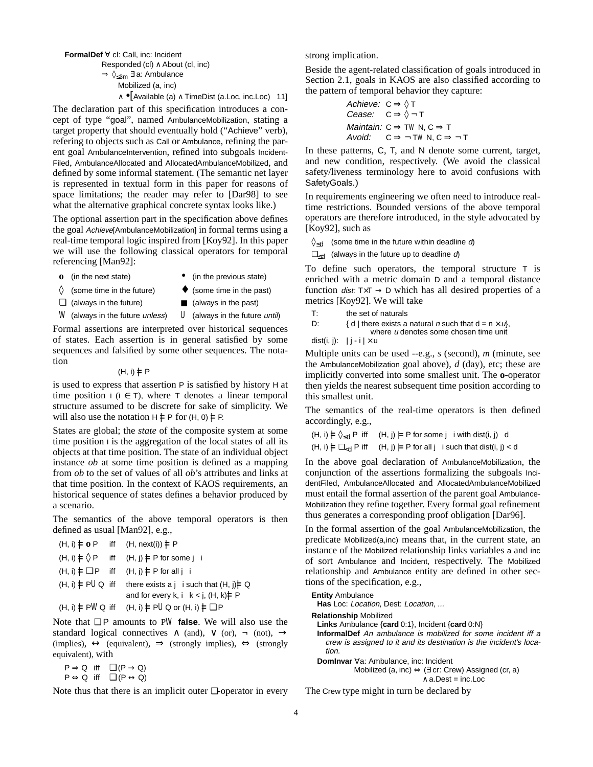# **FormalDef** ∀ cl: Call, inc: Incident Responded (cl)  $\land$  About (cl, inc) ⇒ ◊≤3m ∃ a: Ambulance Mobilized (a, inc) ∧ •[Available (a) ∧ TimeDist (a.Loc, inc.Loc) 11]

The declaration part of this specification introduces a concept of type "goal", named AmbulanceMobilization, stating a target property that should eventually hold ("Achieve" verb), refering to objects such as Call or Ambulance, refining the parent goal AmbulanceIntervention, refined into subgoals Incident-Filed, AmbulanceAllocated and AllocatedAmbulanceMobilized, and defined by some informal statement. (The semantic net layer is represented in textual form in this paper for reasons of space limitations; the reader may refer to [Dar98] to see what the alternative graphical concrete syntax looks like.)

The optional assertion part in the specification above defines the goal Achieve[AmbulanceMobilization] in formal terms using a real-time temporal logic inspired from [Koy92]. In this paper we will use the following classical operators for temporal referencing [Man92]:

- 
- **o** (in the next state) **•** (in the previous state)
- $\Diamond$  (some time in the future)  $\Diamond$  (some time in the past)
	- -
- ❏ (always in the future) (always in the past)
- $W$  (always in the future *unless*)  $U$  (always in the future *until*)

Formal assertions are interpreted over historical sequences of states. Each assertion is in general satisfied by some sequences and falsified by some other sequences. The notation

(H, i) |**=** P

is used to express that assertion P is satisfied by history H at time position i ( $i \in T$ ), where T denotes a linear temporal structure assumed to be discrete for sake of simplicity. We will also use the notation  $H \models P$  for  $(H, 0) \models P$ .

States are global; the *state* of the composite system at some time position i is the aggregation of the local states of all its objects at that time position. The state of an individual object instance *ob* at some time position is defined as a mapping from *ob* to the set of values of all *ob*'s attributes and links at that time position. In the context of KAOS requirements, an historical sequence of states defines a behavior produced by a scenario.

The semantics of the above temporal operators is then defined as usual [Man92], e.g.,

|  | $(H, i) \models o \; P$ if $(H, next(i)) \models P$                                                                   |
|--|-----------------------------------------------------------------------------------------------------------------------|
|  | $(H, i) \models \Diamond P$ iff $(H, j) \models P$ for some j i                                                       |
|  | $(H, i) \models \Box P$ iff $(H, i) \models P$ for all j i                                                            |
|  | $(H, i) \models P U Q$ iff there exists a j i such that $(H, i) \models Q$<br>and for every k, i $k < j$ , $(H, k)$ P |
|  | $(H, i) \models P WQ$ iff $(H, i) \models P UQ$ or $(H, i) \models \Box P$                                            |

Note that ❑ P amounts to P*W* **false**. We will also use the standard logical connectives  $\land$  (and),  $\lor$  (or),  $\neg$  (not),  $\rightarrow$  $(\text{implies})$ ,  $\leftrightarrow$  (equivalent),  $\Rightarrow$  (strongly implies),  $\Leftrightarrow$  (strongly equivalent), with

 $P \Rightarrow Q$  iff  $\Box (P \rightarrow Q)$  $P \Leftrightarrow Q$  iff  $\Box (P \leftrightarrow Q)$ 

Note thus that there is an implicit outer ❑-operator in every

strong implication.

Beside the agent-related classification of goals introduced in Section 2.1, goals in KAOS are also classified according to the pattern of temporal behavior they capture:

| Active: $C \Rightarrow \Diamond T$                    |
|-------------------------------------------------------|
| Cease: $C \Rightarrow \Diamond \neg T$                |
| Maintain: $C \Rightarrow TWN, C \Rightarrow T$        |
| Avoid: $C \Rightarrow \neg TWN, C \Rightarrow \neg T$ |

In these patterns, C, T, and N denote some current, target, and new condition, respectively. (We avoid the classical safety/liveness terminology here to avoid confusions with SafetyGoals.)

In requirements engineering we often need to introduce realtime restrictions. Bounded versions of the above temporal operators are therefore introduced, in the style advocated by [Koy92], such as

 $\Diamond_{\leq d}$  (some time in the future within deadline d)

 $\square_{\leq d}$  (always in the future up to deadline d)

To define such operators, the temporal structure T is enriched with a metric domain D and a temporal distance function *dist*:  $T \times T \rightarrow D$  which has all desired properties of a metrics [Koy92]. We will take

```
T: the set of naturals
```

```
D: {d | then exists a natural <i>n</i> such that <math>d = n \times u</math>,where u denotes some chosen time unit
```
dist(i, j):  $|j - i| \times u$ 

Multiple units can be used --e.g., *s* (second), *m* (minute, see the AmbulanceMobilization goal above), *d* (day), etc; these are implicitly converted into some smallest unit. The **o**-operator then yields the nearest subsequent time position according to this smallest unit.

The semantics of the real-time operators is then defined accordingly, e.g.,

```
(H, i) \models \Diamond_{\leq d} P iff (H, j) \models P for some j i with dist(i, j) d
(H, i) \models \Box_{\leq d} P iff (H, j) \models P for all j i such that dist(i, j) < d
```
In the above goal declaration of AmbulanceMobilization, the conjunction of the assertions formalizing the subgoals IncidentFiled, AmbulanceAllocated and AllocatedAmbulanceMobilized must entail the formal assertion of the parent goal Ambulance-Mobilization they refine together. Every formal goal refinement thus generates a corresponding proof obligation [Dar96].

In the formal assertion of the goal AmbulanceMobilization, the predicate Mobilized(a,inc) means that, in the current state, an instance of the Mobilized relationship links variables a and inc of sort Ambulance and Incident, respectively. The Mobilized relationship and Ambulance entity are defined in other sections of the specification, e.g.,

**Entity** Ambulance

**Has** Loc: Location, Dest: Location, ...

**Relationship** Mobilized

**Links** Ambulance {**card** 0:1}, Incident {**card** 0:N}

**InformalDef** An ambulance is mobilized for some incident iff <sup>a</sup> crew is assigned to it and its destination is the incident's location.

**DomInvar** ∀a: Ambulance, inc: Incident

Mobilized (a, inc)  $\Leftrightarrow$  ( $\exists$  cr: Crew) Assigned (cr, a) ∧ a.Dest = inc.Loc

The Crew type might in turn be declared by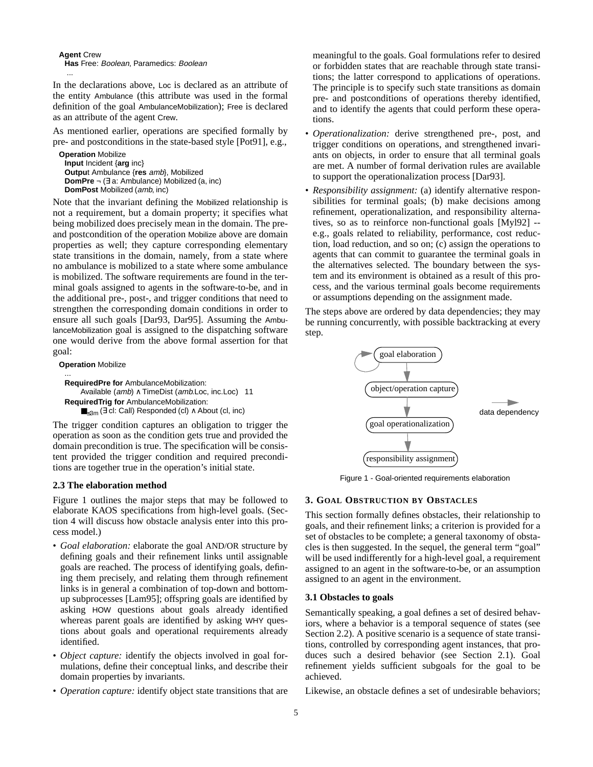**Agent** Crew

**Has** Free: Boolean, Paramedics: Boolean ...

In the declarations above, Loc is declared as an attribute of the entity Ambulance (this attribute was used in the formal definition of the goal AmbulanceMobilization); Free is declared as an attribute of the agent Crew.

As mentioned earlier, operations are specified formally by pre- and postconditions in the state-based style [Pot91], e.g.,

```
Operation Mobilize
 Input Incident {arg inc}
 Output Ambulance {res amb}, Mobilized
 DomPre ¬ (∃ a: Ambulance) Mobilized (a, inc)
 DomPost Mobilized (amb, inc)
```
Note that the invariant defining the Mobilized relationship is not a requirement, but a domain property; it specifies what being mobilized does precisely mean in the domain. The preand postcondition of the operation Mobilize above are domain properties as well; they capture corresponding elementary state transitions in the domain, namely, from a state where no ambulance is mobilized to a state where some ambulance is mobilized. The software requirements are found in the terminal goals assigned to agents in the software-to-be, and in the additional pre-, post-, and trigger conditions that need to strengthen the corresponding domain conditions in order to ensure all such goals [Dar93, Dar95]. Assuming the AmbulanceMobilization goal is assigned to the dispatching software one would derive from the above formal assertion for that goal:

**Operation** Mobilize

...

```
RequiredPre for AmbulanceMobilization:
     Available (amb) ∧ TimeDist (amb.Loc, inc.Loc) 11
RequiredTrig for AmbulanceMobilization:
     ■<sub>≤3m</sub> (\exists cl: Call) Responded (cl) \land About (cl, inc)
```
The trigger condition captures an obligation to trigger the operation as soon as the condition gets true and provided the domain precondition is true. The specification will be consistent provided the trigger condition and required preconditions are together true in the operation's initial state.

#### **2.3 The elaboration method**

Figure 1 outlines the major steps that may be followed to elaborate KAOS specifications from high-level goals. (Section 4 will discuss how obstacle analysis enter into this process model.)

- *Goal elaboration:* elaborate the goal AND/OR structure by defining goals and their refinement links until assignable goals are reached. The process of identifying goals, defining them precisely, and relating them through refinement links is in general a combination of top-down and bottomup subprocesses [Lam95]; offspring goals are identified by asking HOW questions about goals already identified whereas parent goals are identified by asking WHY questions about goals and operational requirements already identified.
- *Object capture:* identify the objects involved in goal formulations, define their conceptual links, and describe their domain properties by invariants.
- *Operation capture:* identify object state transitions that are

meaningful to the goals. Goal formulations refer to desired or forbidden states that are reachable through state transitions; the latter correspond to applications of operations. The principle is to specify such state transitions as domain pre- and postconditions of operations thereby identified, and to identify the agents that could perform these operations.

- *Operationalization:* derive strengthened pre-, post, and trigger conditions on operations, and strengthened invariants on objects, in order to ensure that all terminal goals are met. A number of formal derivation rules are available to support the operationalization process [Dar93].
- *Responsibility assignment:* (a) identify alternative responsibilities for terminal goals; (b) make decisions among refinement, operationalization, and responsibility alternatives, so as to reinforce non-functional goals [Myl92] - e.g., goals related to reliability, performance, cost reduction, load reduction, and so on; (c) assign the operations to agents that can commit to guarantee the terminal goals in the alternatives selected. The boundary between the system and its environment is obtained as a result of this process, and the various terminal goals become requirements or assumptions depending on the assignment made.

The steps above are ordered by data dependencies; they may be running concurrently, with possible backtracking at every step.



Figure 1 - Goal-oriented requirements elaboration

#### **3. GOAL OBSTRUCTION BY OBSTACLES**

This section formally defines obstacles, their relationship to goals, and their refinement links; a criterion is provided for a set of obstacles to be complete; a general taxonomy of obstacles is then suggested. In the sequel, the general term "goal" will be used indifferently for a high-level goal, a requirement assigned to an agent in the software-to-be, or an assumption assigned to an agent in the environment.

#### **3.1 Obstacles to goals**

Semantically speaking, a goal defines a set of desired behaviors, where a behavior is a temporal sequence of states (see Section 2.2). A positive scenario is a sequence of state transitions, controlled by corresponding agent instances, that produces such a desired behavior (see Section 2.1). Goal refinement yields sufficient subgoals for the goal to be achieved.

Likewise, an obstacle defines a set of undesirable behaviors;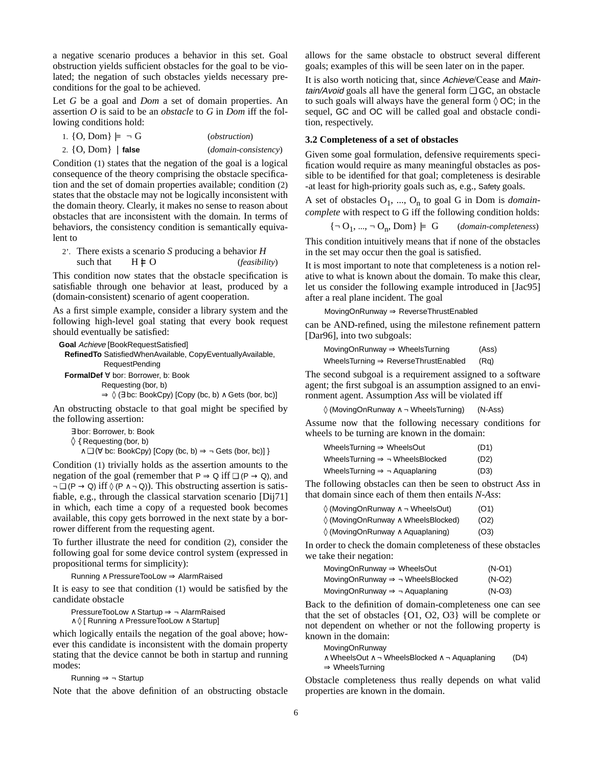a negative scenario produces a behavior in this set. Goal obstruction yields sufficient obstacles for the goal to be violated; the negation of such obstacles yields necessary preconditions for the goal to be achieved.

Let *G* be a goal and *Dom* a set of domain properties. An assertion *O* is said to be an *obstacle* to *G* in *Dom* iff the following conditions hold:

1. {O, Dom} |**=** ¬G (*obstruction*)

2. {O, Dom} | **false** (*domain-consistency*)

Condition (1) states that the negation of the goal is a logical consequence of the theory comprising the obstacle specification and the set of domain properties available; condition (2) states that the obstacle may not be logically inconsistent with the domain theory. Clearly, it makes no sense to reason about obstacles that are inconsistent with the domain. In terms of behaviors, the consistency condition is semantically equivalent to

2'. There exists a scenario *S* producing a behavior *H* such that  $H \models O$  (*feasibility*)

This condition now states that the obstacle specification is satisfiable through one behavior at least, produced by a (domain-consistent) scenario of agent cooperation.

As a first simple example, consider a library system and the following high-level goal stating that every book request should eventually be satisfied:

**Goal** Achieve [BookRequestSatisfied] **RefinedTo** SatisfiedWhenAvailable, CopyEventuallyAvailable, RequestPending **FormalDef** ∀ bor: Borrower, b: Book

Requesting (bor, b) ⇒ ◊ (∃ bc: BookCpy) [Copy (bc, b) ∧ Gets (bor, bc)]

An obstructing obstacle to that goal might be specified by the following assertion:

∃ bor: Borrower, b: Book

 $\Diamond \{$  Requesting (bor, b)

 $\land \Box$  ( $\forall$  bc: BookCpy) [Copy (bc, b)  $\Rightarrow \neg$  Gets (bor, bc)] }

Condition (1) trivially holds as the assertion amounts to the negation of the goal (remember that  $P \Rightarrow Q$  iff  $\Box$  ( $P \rightarrow Q$ ), and  $\neg \Box$  (P  $\rightarrow$  Q) iff  $\Diamond$  (P  $\land \neg$  Q)). This obstructing assertion is satisfiable, e.g., through the classical starvation scenario [Dij71] in which, each time a copy of a requested book becomes available, this copy gets borrowed in the next state by a borrower different from the requesting agent.

To further illustrate the need for condition (2), consider the following goal for some device control system (expressed in propositional terms for simplicity):

Running ∧ PressureTooLow ⇒ AlarmRaised

It is easy to see that condition (1) would be satisfied by the candidate obstacle

PressureTooLow ∧ Startup ⇒ ¬ AlarmRaised ∧ ◊ [ Running ∧ PressureTooLow ∧ Startup]

which logically entails the negation of the goal above; however this candidate is inconsistent with the domain property stating that the device cannot be both in startup and running modes:

Running ⇒ ¬ Startup

Note that the above definition of an obstructing obstacle

allows for the same obstacle to obstruct several different goals; examples of this will be seen later on in the paper.

It is also worth noticing that, since Achieve/Cease and Maintain/Avoid goals all have the general form ❑ GC, an obstacle to such goals will always have the general form ◊ OC; in the sequel, GC and OC will be called goal and obstacle condition, respectively.

# **3.2 Completeness of a set of obstacles**

Given some goal formulation, defensive requirements specification would require as many meaningful obstacles as possible to be identified for that goal; completeness is desirable -at least for high-priority goals such as, e.g., Safety goals.

A set of obstacles  $O_1$ , ...,  $O_n$  to goal G in Dom is *domaincomplete* with respect to G iff the following condition holds:

 $\{\neg \mathcal{O}_1, ..., \neg \mathcal{O}_n, \text{Dom}\}\models G$  (*domain-completeness*)

This condition intuitively means that if none of the obstacles in the set may occur then the goal is satisfied.

It is most important to note that completeness is a notion relative to what is known about the domain. To make this clear, let us consider the following example introduced in [Jac95] after a real plane incident. The goal

MovingOnRunway ⇒ ReverseThrustEnabled

can be AND-refined, using the milestone refinement pattern [Dar96], into two subgoals:

MovingOnRunway ⇒ WheelsTurning (Ass) WheelsTurning ⇒ ReverseThrustEnabled (Rq)

The second subgoal is a requirement assigned to a software agent; the first subgoal is an assumption assigned to an environment agent. Assumption *Ass* will be violated iff

◊ (MovingOnRunway ∧ ¬ WheelsTurning) (N-Ass)

Assume now that the following necessary conditions for wheels to be turning are known in the domain:

| WheelsTurning $\Rightarrow$ WheelsOut       | (D1) |
|---------------------------------------------|------|
| WheelsTurning $\Rightarrow$ ¬ WheelsBlocked | (D2) |
| WheelsTurning $\Rightarrow$ ¬ Aquaplaning   | (D3) |

The following obstacles can then be seen to obstruct *Ass* in that domain since each of them then entails *N-Ass*:

| $\Diamond$ (MovingOnRunway $\land \neg$ WheelsOut) | (O1) |
|----------------------------------------------------|------|
| $\Diamond$ (MovingOnRunway $\land$ WheelsBlocked)  | (O2) |
| $\Diamond$ (MovingOnRunway $\land$ Aquaplaning)    | (O3) |

In order to check the domain completeness of these obstacles we take their negation:

| MovingOnRunway $\Rightarrow$ WheelsOut          | $(N-O1)$ |
|-------------------------------------------------|----------|
| MovingOnRunway $\Rightarrow \neg$ WheelsBlocked | (N-O2)   |
| MovingOnRunway $\Rightarrow \neg$ Aquaplaning   | (N-O3)   |

Back to the definition of domain-completeness one can see that the set of obstacles {O1, O2, O3} will be complete or not dependent on whether or not the following property is known in the domain:

MovingOnRunway

∧ WheelsOut ∧ ¬ WheelsBlocked ∧ ¬ Aquaplaning (D4) ⇒ WheelsTurning

Obstacle completeness thus really depends on what valid properties are known in the domain.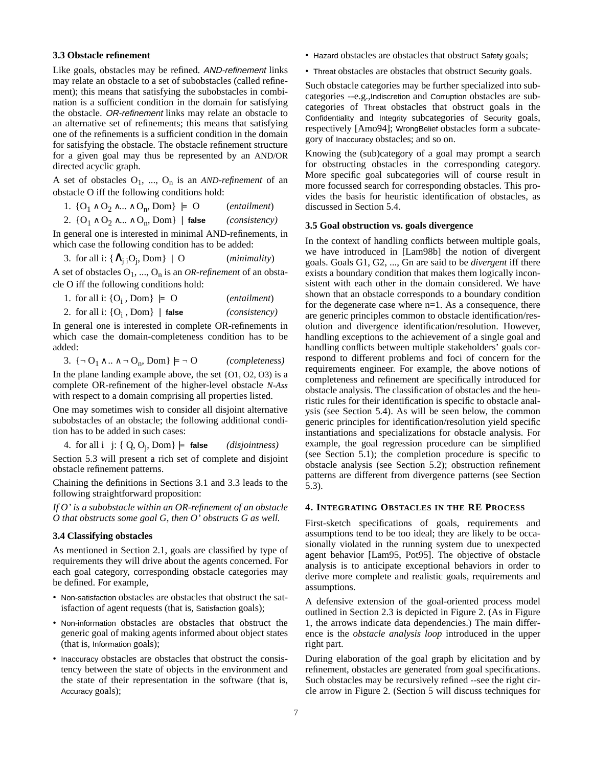#### **3.3 Obstacle refinement**

Like goals, obstacles may be refined. AND-refinement links may relate an obstacle to a set of subobstacles (called refinement); this means that satisfying the subobstacles in combination is a sufficient condition in the domain for satisfying the obstacle. OR-refinement links may relate an obstacle to an alternative set of refinements; this means that satisfying one of the refinements is a sufficient condition in the domain for satisfying the obstacle. The obstacle refinement structure for a given goal may thus be represented by an AND/OR directed acyclic graph.

A set of obstacles  $O_1$ , ...,  $O_n$  is an *AND-refinement* of an obstacle O iff the following conditions hold:

- 1.  $\{O_1 \wedge O_2 \wedge ... \wedge O_n, Dom\} \models O$  (*entailment*)
- 2. {O1 ∧ O2 ∧... ∧ On, Dom} | **false** *(consistency)*

In general one is interested in minimal AND-refinements, in which case the following condition has to be added:

|  | 3. for all i: $\{\Lambda_{j}{}_{i}O_{j}$ , Dom}   O | ( <i>minimality</i> ) |
|--|-----------------------------------------------------|-----------------------|
|  |                                                     |                       |

A set of obstacles  $O_1$ , ...,  $O_n$  is an *OR-refinement* of an obstacle O iff the following conditions hold:

| 1. for all i: ${O_i, Dom}$ = 0     | <i>(entailment)</i>  |
|------------------------------------|----------------------|
| 2. for all i: ${O_i, Dom}$   false | <i>(consistency)</i> |

In general one is interested in complete OR-refinements in which case the domain-completeness condition has to be added:

3. 
$$
\{\neg O_1 \land .. \land \neg O_n, Dom\} \models \neg O
$$
 (completeness)

In the plane landing example above, the set {O1, O2, O3) is a complete OR-refinement of the higher-level obstacle *N-Ass* with respect to a domain comprising all properties listed.

One may sometimes wish to consider all disjoint alternative subobstacles of an obstacle; the following additional condition has to be added in such cases:

 $4.$  for all i  $j: \{ Q, O_j, Dom \} \models$  **false** *(disjointness)* 

Section 5.3 will present a rich set of complete and disjoint obstacle refinement patterns.

Chaining the definitions in Sections 3.1 and 3.3 leads to the following straightforward proposition:

*If O' is a subobstacle within an OR-refinement of an obstacle O that obstructs some goal G, then O' obstructs G as well.*

#### **3.4 Classifying obstacles**

As mentioned in Section 2.1, goals are classified by type of requirements they will drive about the agents concerned. For each goal category, corresponding obstacle categories may be defined. For example,

- Non-satisfaction obstacles are obstacles that obstruct the satisfaction of agent requests (that is, Satisfaction goals);
- Non-information obstacles are obstacles that obstruct the generic goal of making agents informed about object states (that is, Information goals);
- Inaccuracy obstacles are obstacles that obstruct the consistency between the state of objects in the environment and the state of their representation in the software (that is, Accuracy goals);
- Hazard obstacles are obstacles that obstruct Safety goals;
- Threat obstacles are obstacles that obstruct Security goals.

Such obstacle categories may be further specialized into subcategories --e.g.,Indiscretion and Corruption obstacles are subcategories of Threat obstacles that obstruct goals in the Confidentiality and Integrity subcategories of Security goals, respectively [Amo94]; WrongBelief obstacles form a subcategory of Inaccuracy obstacles; and so on.

Knowing the (sub)category of a goal may prompt a search for obstructing obstacles in the corresponding category. More specific goal subcategories will of course result in more focussed search for corresponding obstacles. This provides the basis for heuristic identification of obstacles, as discussed in Section 5.4.

#### **3.5 Goal obstruction vs. goals divergence**

In the context of handling conflicts between multiple goals, we have introduced in [Lam98b] the notion of divergent goals. Goals G1, G2, ..., Gn are said to be *divergent* iff there exists a boundary condition that makes them logically inconsistent with each other in the domain considered. We have shown that an obstacle corresponds to a boundary condition for the degenerate case where n=1. As a consequence, there are generic principles common to obstacle identification/resolution and divergence identification/resolution. However, handling exceptions to the achievement of a single goal and handling conflicts between multiple stakeholders' goals correspond to different problems and foci of concern for the requirements engineer. For example, the above notions of completeness and refinement are specifically introduced for obstacle analysis. The classification of obstacles and the heuristic rules for their identification is specific to obstacle analysis (see Section 5.4). As will be seen below, the common generic principles for identification/resolution yield specific instantiations and specializations for obstacle analysis. For example, the goal regression procedure can be simplified (see Section 5.1); the completion procedure is specific to obstacle analysis (see Section 5.2); obstruction refinement patterns are different from divergence patterns (see Section 5.3).

#### **4. INTEGRATING OBSTACLES IN THE RE PROCESS**

First-sketch specifications of goals, requirements and assumptions tend to be too ideal; they are likely to be occasionally violated in the running system due to unexpected agent behavior [Lam95, Pot95]. The objective of obstacle analysis is to anticipate exceptional behaviors in order to derive more complete and realistic goals, requirements and assumptions.

A defensive extension of the goal-oriented process model outlined in Section 2.3 is depicted in Figure 2. (As in Figure 1, the arrows indicate data dependencies.) The main difference is the *obstacle analysis loop* introduced in the upper right part.

During elaboration of the goal graph by elicitation and by refinement, obstacles are generated from goal specifications. Such obstacles may be recursively refined --see the right circle arrow in Figure 2. (Section 5 will discuss techniques for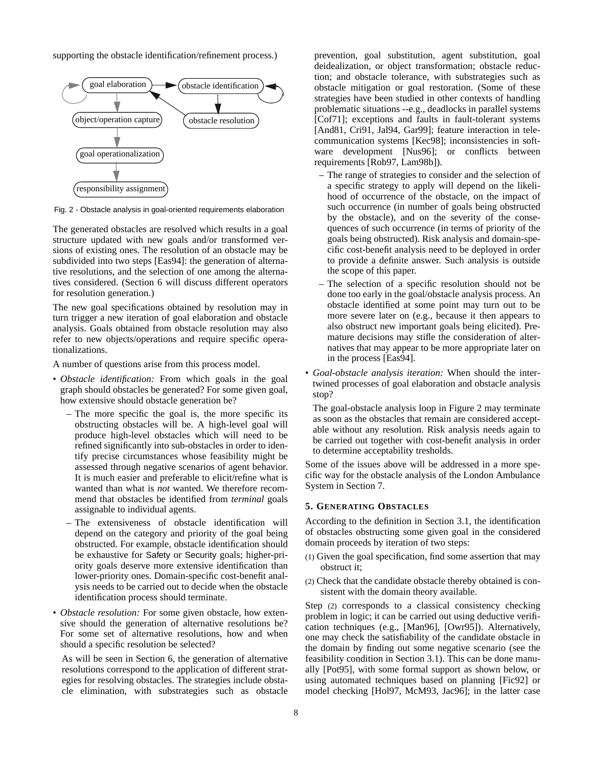supporting the obstacle identification/refinement process.)



Fig. 2 - Obstacle analysis in goal-oriented requirements elaboration

The generated obstacles are resolved which results in a goal structure updated with new goals and/or transformed versions of existing ones. The resolution of an obstacle may be subdivided into two steps [Eas94]: the generation of alternative resolutions, and the selection of one among the alternatives considered. (Section 6 will discuss different operators for resolution generation.)

The new goal specifications obtained by resolution may in turn trigger a new iteration of goal elaboration and obstacle analysis. Goals obtained from obstacle resolution may also refer to new objects/operations and require specific operationalizations.

A number of questions arise from this process model.

- *Obstacle identification:* From which goals in the goal graph should obstacles be generated? For some given goal, how extensive should obstacle generation be?
	- The more specific the goal is, the more specific its obstructing obstacles will be. A high-level goal will produce high-level obstacles which will need to be refined significantly into sub-obstacles in order to identify precise circumstances whose feasibility might be assessed through negative scenarios of agent behavior. It is much easier and preferable to elicit/refine what is wanted than what is *not* wanted. We therefore recommend that obstacles be identified from *terminal* goals assignable to individual agents.
	- The extensiveness of obstacle identification will depend on the category and priority of the goal being obstructed. For example, obstacle identification should be exhaustive for Safety or Security goals; higher-priority goals deserve more extensive identification than lower-priority ones. Domain-specific cost-benefit analysis needs to be carried out to decide when the obstacle identification process should terminate.
- *Obstacle resolution:* For some given obstacle, how extensive should the generation of alternative resolutions be? For some set of alternative resolutions, how and when should a specific resolution be selected?

As will be seen in Section 6, the generation of alternative resolutions correspond to the application of different strategies for resolving obstacles. The strategies include obstacle elimination, with substrategies such as obstacle prevention, goal substitution, agent substitution, goal deidealization, or object transformation; obstacle reduction; and obstacle tolerance, with substrategies such as obstacle mitigation or goal restoration. (Some of these strategies have been studied in other contexts of handling problematic situations --e.g., deadlocks in parallel systems [Cof71]; exceptions and faults in fault-tolerant systems [And81, Cri91, Jal94, Gar99]; feature interaction in telecommunication systems [Kec98]; inconsistencies in software development [Nus96]; or conflicts between requirements [Rob97, Lam98b]).

- The range of strategies to consider and the selection of a specific strategy to apply will depend on the likelihood of occurrence of the obstacle, on the impact of such occurrence (in number of goals being obstructed by the obstacle), and on the severity of the consequences of such occurrence (in terms of priority of the goals being obstructed). Risk analysis and domain-specific cost-benefit analysis need to be deployed in order to provide a definite answer. Such analysis is outside the scope of this paper.
- The selection of a specific resolution should not be done too early in the goal/obstacle analysis process. An obstacle identified at some point may turn out to be more severe later on (e.g., because it then appears to also obstruct new important goals being elicited). Premature decisions may stifle the consideration of alternatives that may appear to be more appropriate later on in the process [Eas94].
- *Goal-obstacle analysis iteration:* When should the intertwined processes of goal elaboration and obstacle analysis stop?

The goal-obstacle analysis loop in Figure 2 may terminate as soon as the obstacles that remain are considered acceptable without any resolution. Risk analysis needs again to be carried out together with cost-benefit analysis in order to determine acceptability tresholds.

Some of the issues above will be addressed in a more specific way for the obstacle analysis of the London Ambulance System in Section 7.

# **5. GENERATING OBSTACLES**

According to the definition in Section 3.1, the identification of obstacles obstructing some given goal in the considered domain proceeds by iteration of two steps:

- (1) Given the goal specification, find some assertion that may obstruct it;
- (2) Check that the candidate obstacle thereby obtained is consistent with the domain theory available.

Step (2) corresponds to a classical consistency checking problem in logic; it can be carried out using deductive verification techniques (e.g., [Man96], [Owr95]). Alternatively, one may check the satisfiability of the candidate obstacle in the domain by finding out some negative scenario (see the feasibility condition in Section 3.1). This can be done manually [Pot95], with some formal support as shown below, or using automated techniques based on planning [Fic92] or model checking [Hol97, McM93, Jac96]; in the latter case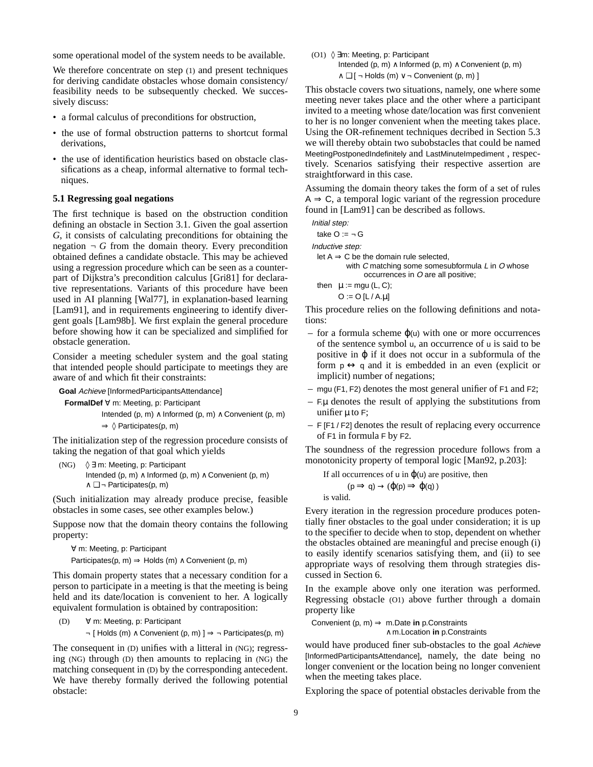some operational model of the system needs to be available.

We therefore concentrate on step (1) and present techniques for deriving candidate obstacles whose domain consistency/ feasibility needs to be subsequently checked. We successively discuss:

- a formal calculus of preconditions for obstruction,
- the use of formal obstruction patterns to shortcut formal derivations,
- the use of identification heuristics based on obstacle classifications as a cheap, informal alternative to formal techniques.

# **5.1 Regressing goal negations**

The first technique is based on the obstruction condition defining an obstacle in Section 3.1. Given the goal assertion *G*, it consists of calculating preconditions for obtaining the negation  $\neg G$  from the domain theory. Every precondition obtained defines a candidate obstacle. This may be achieved using a regression procedure which can be seen as a counterpart of Dijkstra's precondition calculus [Gri81] for declarative representations. Variants of this procedure have been used in AI planning [Wal77], in explanation-based learning [Lam91], and in requirements engineering to identify divergent goals [Lam98b]. We first explain the general procedure before showing how it can be specialized and simplified for obstacle generation.

Consider a meeting scheduler system and the goal stating that intended people should participate to meetings they are aware of and which fit their constraints:

**Goal** Achieve [InformedParticipantsAttendance]

**FormalDef** ∀ m: Meeting, p: Participant

Intended (p, m)  $\land$  Informed (p, m)  $\land$  Convenient (p, m)  $\Rightarrow$   $\Diamond$  Participates(p, m)

The initialization step of the regression procedure consists of taking the negation of that goal which yields

(NG) 
$$
\Diamond \exists
$$
 m: Meeting, p: Participant  
\nIntended (p, m) ∧ Informed (p, m) ∧ Convenient (p, m)  
\n∧ □ → Participates(p, m)

(Such initialization may already produce precise, feasible obstacles in some cases, see other examples below.)

Suppose now that the domain theory contains the following property:

```
∀ m: Meeting, p: Participant
```
Participates(p, m)  $\Rightarrow$  Holds (m)  $\land$  Convenient (p, m)

This domain property states that a necessary condition for a person to participate in a meeting is that the meeting is being held and its date/location is convenient to her. A logically equivalent formulation is obtained by contraposition:

$$
(D) \qquad \forall \text{ m: Meeting, p: Participant}
$$

¬ [ Holds (m) ∧ Convenient (p, m) ] ⇒ ¬ Participates(p, m)

The consequent in (D) unifies with a litteral in (NG); regressing (NG) through (D) then amounts to replacing in (NG) the matching consequent in (D) by the corresponding antecedent. We have thereby formally derived the following potential obstacle:

(O1) ◊ ∃m: Meeting, p: Participant

Intended (p, m)  $\land$  Informed (p, m)  $\land$  Convenient (p, m) ∧ ❑ [ ¬ Holds (m) ∨ ¬ Convenient (p, m) ]

This obstacle covers two situations, namely, one where some

meeting never takes place and the other where a participant invited to a meeting whose date/location was first convenient to her is no longer convenient when the meeting takes place. Using the OR-refinement techniques decribed in Section 5.3 we will thereby obtain two subobstacles that could be named MeetingPostponedIndefinitely and LastMinuteImpediment , respectively. Scenarios satisfying their respective assertion are straightforward in this case.

Assuming the domain theory takes the form of a set of rules  $A \Rightarrow C$ , a temporal logic variant of the regression procedure found in [Lam91] can be described as follows.

Initial step:

take  $O := \neg G$ 

Inductive step: let  $A \Rightarrow C$  be the domain rule selected. with C matching some somesubformula L in O whose occurrences in O are all positive; then  $\mu := \text{mgu } (L, C)$ ;

 $O := O [L / A. \mu]$ 

This procedure relies on the following definitions and notations:

- for a formula scheme ϕ(u) with one or more occurrences of the sentence symbol u, an occurrence of u is said to be positive in ϕ if it does not occur in a subformula of the form  $p \leftrightarrow q$  and it is embedded in an even (explicit or implicit) number of negations;
- mgu (F1, F2) denotes the most general unifier of F1 and F2;
- F.µ denotes the result of applying the substitutions from unifier  $\mu$  to F;
- F [F1 / F2] denotes the result of replacing every occurrence of F1 in formula F by F2.

The soundness of the regression procedure follows from a monotonicity property of temporal logic [Man92, p.203]:

If all occurrences of u in  $\varphi(u)$  are positive, then

$$
(p \Longrightarrow q) \rightarrow (\phi(p) \Longrightarrow \phi(q)\,)
$$

is valid.

Every iteration in the regression procedure produces potentially finer obstacles to the goal under consideration; it is up to the specifier to decide when to stop, dependent on whether the obstacles obtained are meaningful and precise enough (i) to easily identify scenarios satisfying them, and (ii) to see appropriate ways of resolving them through strategies discussed in Section 6.

In the example above only one iteration was performed. Regressing obstacle (O1) above further through a domain property like

Convenient (p, m) ⇒ m.Date **in** p.Constraints ∧ m.Location **in** p.Constraints

would have produced finer sub-obstacles to the goal Achieve [InformedParticipantsAttendance], namely, the date being no longer convenient or the location being no longer convenient when the meeting takes place.

Exploring the space of potential obstacles derivable from the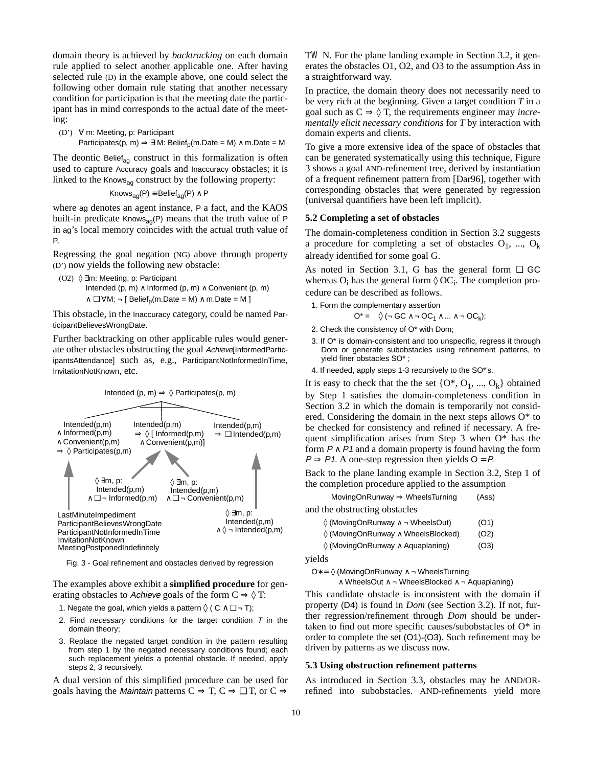domain theory is achieved by *backtracking* on each domain rule applied to select another applicable one. After having selected rule (D) in the example above, one could select the following other domain rule stating that another necessary condition for participation is that the meeting date the participant has in mind corresponds to the actual date of the meeting:

(D') 
$$
\forall
$$
 m: Meeting, p: Participant

$$
Participates(p, m) \Rightarrow \exists M: Belief_p(m.Date = M) \land m.Date = M
$$

The deontic Belief<sub>ag</sub> construct in this formalization is often used to capture Accuracy goals and Inaccuracy obstacles; it is linked to the Knows<sub>ag</sub> construct by the following property:

$$
Knows_{ag}(P) = Belief_{ag}(P) \wedge P
$$

where ag denotes an agent instance, P a fact, and the KAOS built-in predicate Knows<sub>aq</sub>(P) means that the truth value of P in ag's local memory coincides with the actual truth value of P.

Regressing the goal negation (NG) above through property (D') now yields the following new obstacle:

\n- (O2) 
$$
\Diamond \exists m
$$
: Meeting, p: Participant  
\n
	\n- Intended (p, m) ∧ Informed (p, m) ∧ Convenient (p, m)
	\n- ∩ ∪ ∨M: ¬ [ Belief<sub>p</sub>(m.DataFrame = M) ∧ m.DataFrame = M ]
	\n\n
\n

This obstacle, in the Inaccuracy category, could be named ParticipantBelievesWrongDate.

Further backtracking on other applicable rules would generate other obstacles obstructing the goal Achieve[InformedParticipantsAttendance] such as, e.g., ParticipantNotInformedInTime, InvitationNotKnown, etc.



Fig. 3 - Goal refinement and obstacles derived by regression

The examples above exhibit a **simplified procedure** for generating obstacles to Achieve goals of the form  $C \Rightarrow \Diamond T$ :

- 1. Negate the goal, which yields a pattern  $\Diamond$  ( C  $\land$   $\Box$   $\neg$  T);
- 2. Find *necessary* conditions for the target condition  $T$  in the domain theory;
- 3. Replace the negated target condition in the pattern resulting from step 1 by the negated necessary conditions found; each such replacement yields a potential obstacle. If needed, apply steps 2, 3 recursively.

A dual version of this simplified procedure can be used for goals having the *Maintain* patterns  $C \Rightarrow T, C \Rightarrow \Box T$ , or  $C \Rightarrow$ 

T*W* N. For the plane landing example in Section 3.2, it generates the obstacles O1, O2, and O3 to the assumption *Ass* in a straightforward way.

In practice, the domain theory does not necessarily need to be very rich at the beginning. Given a target condition *T* in a goal such as  $C \Rightarrow \Diamond T$ , the requirements engineer may *incrementally elicit necessary conditions* for *T* by interaction with domain experts and clients.

To give a more extensive idea of the space of obstacles that can be generated systematically using this technique, Figure 3 shows a goal AND-refinement tree, derived by instantiation of a frequent refinement pattern from [Dar96], together with corresponding obstacles that were generated by regression (universal quantifiers have been left implicit).

# **5.2 Completing a set of obstacles**

The domain-completeness condition in Section 3.2 suggests a procedure for completing a set of obstacles  $O_1$ , ...,  $O_k$ already identified for some goal G.

As noted in Section 3.1, G has the general form  $\Box$  GC whereas  $O_i$  has the general form  $\Diamond$  OC<sub>i</sub>. The completion procedure can be described as follows.

1. Form the complementary assertion

- $O^* = \diamondsuit (\neg \text{ GC } \land \neg \text{ OC}_1 \land ... \land \neg \text{ OC}_k);$
- 2. Check the consistency of O\* with Dom;
- 3. If O\* is domain-consistent and too unspecific, regress it through Dom or generate subobstacles using refinement patterns, to yield finer obstacles SO\* ;
- 4. If needed, apply steps 1-3 recursively to the SO\*'s.

It is easy to check that the the set  $\{O^*, O_1, ..., O_k\}$  obtained by Step 1 satisfies the domain-completeness condition in Section 3.2 in which the domain is temporarily not considered. Considering the domain in the next steps allows O\* to be checked for consistency and refined if necessary. A frequent simplification arises from Step 3 when O\* has the form  $P \wedge P1$  and a domain property is found having the form  $P \Rightarrow P1$ . A one-step regression then yields  $Q = P$ .

Back to the plane landing example in Section 3.2, Step 1 of the completion procedure applied to the assumption

MovingOnRunway ⇒ WheelsTurning (Ass)

and the obstructing obstacles

- ◊ (MovingOnRunway ∧ ¬ WheelsOut) (O1)
- ◊ (MovingOnRunway ∧ WheelsBlocked) (O2)
- ◊ (MovingOnRunway ∧ Aquaplaning) (O3)

yields

O∗ = ◊ (MovingOnRunway ∧ ¬ WheelsTurning

∧ WheelsOut ∧ ¬ WheelsBlocked ∧ ¬ Aquaplaning)

This candidate obstacle is inconsistent with the domain if property (D4) is found in *Dom* (see Section 3.2). If not, further regression/refinement through *Dom* should be undertaken to find out more specific causes/subobstacles of O\* in order to complete the set (O1)-(O3). Such refinement may be driven by patterns as we discuss now.

# **5.3 Using obstruction refinement patterns**

As introduced in Section 3.3, obstacles may be AND/ORrefined into subobstacles. AND-refinements yield more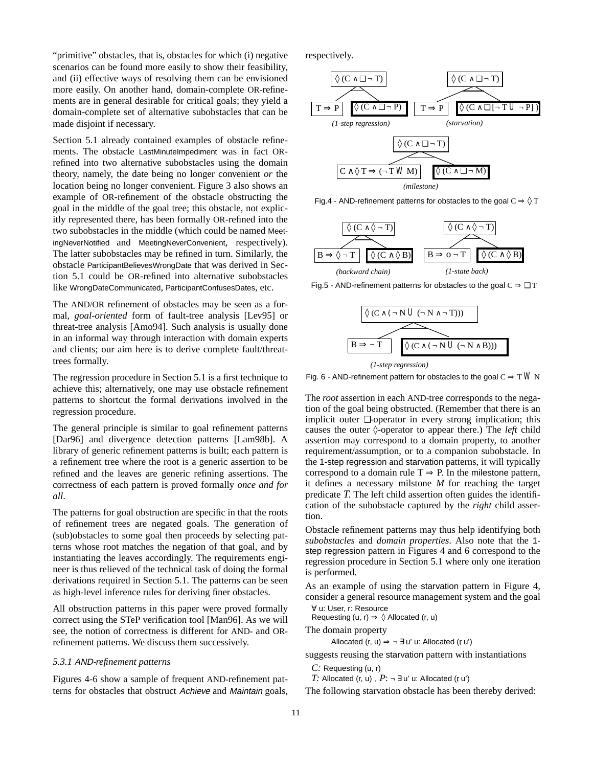"primitive" obstacles, that is, obstacles for which (i) negative scenarios can be found more easily to show their feasibility, and (ii) effective ways of resolving them can be envisioned more easily. On another hand, domain-complete OR-refinements are in general desirable for critical goals; they yield a domain-complete set of alternative subobstacles that can be made disjoint if necessary.

Section 5.1 already contained examples of obstacle refinements. The obstacle LastMinuteImpediment was in fact ORrefined into two alternative subobstacles using the domain theory, namely, the date being no longer convenient *or* the location being no longer convenient. Figure 3 also shows an example of OR-refinement of the obstacle obstructing the goal in the middle of the goal tree; this obstacle, not explicitly represented there, has been formally OR-refined into the two subobstacles in the middle (which could be named MeetingNeverNotified and MeetingNeverConvenient, respectively). The latter subobstacles may be refined in turn. Similarly, the obstacle ParticipantBelievesWrongDate that was derived in Section 5.1 could be OR-refined into alternative subobstacles like WrongDateCommunicated, ParticipantConfusesDates, etc.

The AND/OR refinement of obstacles may be seen as a formal, *goal-oriented* form of fault-tree analysis [Lev95] or threat-tree analysis [Amo94]. Such analysis is usually done in an informal way through interaction with domain experts and clients; our aim here is to derive complete fault/threattrees formally.

The regression procedure in Section 5.1 is a first technique to achieve this; alternatively, one may use obstacle refinement patterns to shortcut the formal derivations involved in the regression procedure.

The general principle is similar to goal refinement patterns [Dar96] and divergence detection patterns [Lam98b]. A library of generic refinement patterns is built; each pattern is a refinement tree where the root is a generic assertion to be refined and the leaves are generic refining assertions. The correctness of each pattern is proved formally *once and for all*.

The patterns for goal obstruction are specific in that the roots of refinement trees are negated goals. The generation of (sub)obstacles to some goal then proceeds by selecting patterns whose root matches the negation of that goal, and by instantiating the leaves accordingly. The requirements engineer is thus relieved of the technical task of doing the formal derivations required in Section 5.1. The patterns can be seen as high-level inference rules for deriving finer obstacles.

All obstruction patterns in this paper were proved formally correct using the STeP verification tool [Man96]. As we will see, the notion of correctness is different for AND- and ORrefinement patterns. We discuss them successively.

# *5.3.1* AND-*refinement patterns*

Figures 4-6 show a sample of frequent AND-refinement patterns for obstacles that obstruct Achieve and Maintain goals, respectively.



Fig.4 - AND-refinement patterns for obstacles to the goal  $C \Rightarrow \Diamond T$ 



Fig.5 - AND-refinement patterns for obstacles to the goal  $C \Rightarrow \Box T$ 



*(1-step regression)*

Fig. 6 - AND-refinement pattern for obstacles to the goal  $C \Rightarrow T WN$ 

The *root* assertion in each AND-tree corresponds to the negation of the goal being obstructed. (Remember that there is an implicit outer ❑-operator in every strong implication; this causes the outer ◊-operator to appear there.) The *left* child assertion may correspond to a domain property, to another requirement/assumption, or to a companion subobstacle. In the 1-step regression and starvation patterns, it will typically correspond to a domain rule  $T \Rightarrow P$ . In the milestone pattern, it defines a necessary milstone *M* for reaching the target predicate *T*. The left child assertion often guides the identification of the subobstacle captured by the *right* child assertion.

Obstacle refinement patterns may thus help identifying both *subobstacles* and *domain properties*. Also note that the 1 step regression pattern in Figures 4 and 6 correspond to the regression procedure in Section 5.1 where only one iteration is performed.

As an example of using the starvation pattern in Figure 4, consider a general resource management system and the goal

∀ u: User, r: Resource Requesting (u, r)  $\Rightarrow$   $\Diamond$  Allocated (r, u)

The domain property

Allocated (r, u)  $\Rightarrow \neg \exists$  u' u: Allocated (r u')

suggests reusing the starvation pattern with instantiations

- *C:* Requesting (u, r)
- *T*: Allocated (r, u),  $P: \neg \exists u'$  u: Allocated (r, u')
- The following starvation obstacle has been thereby derived: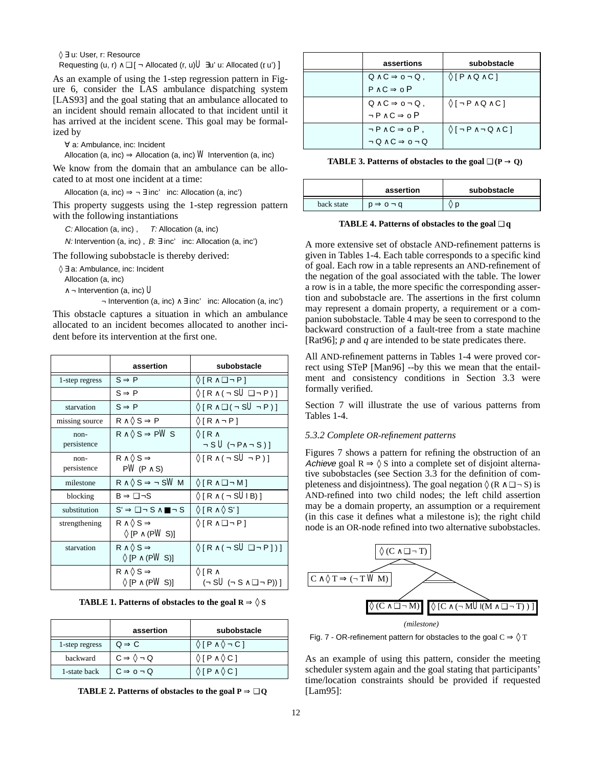◊ ∃ u: User, r: Resource

Requesting (u, r)  $\land$  **□** [ ¬ Allocated (r, u)  $U \exists u'$  u: Allocated (r u') ]

As an example of using the 1-step regression pattern in Figure 6, consider the LAS ambulance dispatching system [LAS93] and the goal stating that an ambulance allocated to an incident should remain allocated to that incident until it has arrived at the incident scene. This goal may be formalized by

```
∀ a: Ambulance, inc: Incident
```
Allocation (a, inc) ⇒ Allocation (a, inc) *W* Intervention (a, inc)

We know from the domain that an ambulance can be allocated to at most one incident at a time:

Allocation (a, inc)  $\Rightarrow \neg \exists$  inc' inc: Allocation (a, inc')

This property suggests using the 1-step regression pattern with the following instantiations

 $C:$  Allocation (a, inc),  $T:$  Allocation (a, inc)

N: Intervention (a, inc),  $B: \exists$  inc' inc: Allocation (a, inc')

The following subobstacle is thereby derived:

◊ ∃ a: Ambulance, inc: Incident

Allocation (a, inc)

∧ ¬ Intervention (a, inc) *U*

¬ Intervention (a, inc) ∧ ∃ inc' inc: Allocation (a, inc')

This obstacle captures a situation in which an ambulance allocated to an incident becomes allocated to another incident before its intervention at the first one.

|                       | assertion                                                             | subobstacle                                                  |
|-----------------------|-----------------------------------------------------------------------|--------------------------------------------------------------|
| 1-step regress        | $S \Rightarrow P$                                                     | $\Diamond$ $[$ R $\land$ $\Box$ $\neg$ P $]$                 |
|                       | $S \Rightarrow P$                                                     | $\Diamond$ [R $\land$ (¬S $U$ ロ¬P)]                          |
| starvation            | $S \Rightarrow P$                                                     | $\Diamond$ [R $\land$ $\Box$ ( $\neg$ S $U$ $\neg$ P)]       |
| missing source        | $R \wedge \Diamond S \Rightarrow P$                                   | 0 [ R ∧ ¬ P ]                                                |
| $non-$<br>persistence | $R \wedge \theta S \Rightarrow PWS$                                   | $\Diamond$ [ R $\land$<br>$\neg S U (\neg P \land \neg S)$ ] |
| $non-$<br>persistence | $R \wedge \Diamond S \Rightarrow$<br>$P W (P \wedge S)$               | $\Diamond$ [R $\land$ (¬SU¬P)]                               |
| milestone             | $R \wedge \Diamond S \Rightarrow \neg S W M$                          | ◊ [ R ∧ ❑ ¬ M ]                                              |
| blocking              | $B \Rightarrow \Box \neg S$                                           | $\Diamond$ [ R $\land$ ( $\neg$ S $U$   B) ]                 |
| substitution          | $S' \Rightarrow \Box \neg S \wedge \blacksquare \neg S$               | $\Diamond$ [ R $\land$ $\Diamond$ S' ]                       |
| strengthening         | $R \wedge \Diamond S \Rightarrow$<br>$\Diamond$ [P $\land$ (P $W$ S)] | $\Diamond$ [R $\land$ $\Box$ $\neg$ P ]                      |
| starvation            | $R \wedge \Diamond S \Rightarrow$<br>$\Diamond$ [P $\land$ (P $W$ S)] | $\Diamond$ [R $\land$ (¬S $U$ Q¬P])]                         |
|                       | $R \wedge \Diamond S \Rightarrow$<br>$\Diamond$ [P $\land$ (P $W$ S)] | $\Diamond$ [ R $\land$<br>$(¬ SU(¬ S ∧ □ ¬ P))$ ]            |

**TABLE 1. Patterns of obstacles to the goal**  $R \Rightarrow \Diamond S$ 

|                | assertion                       | subobstacle         |
|----------------|---------------------------------|---------------------|
| 1-step regress | $Q \Rightarrow C$               | $0[P \wedge 0 - C]$ |
| backward       | $C \Rightarrow \Diamond \neg Q$ | $0[P \wedge 0]$     |
| 1-state back   | $C \Rightarrow o \neg Q$        | $0[P \wedge 0]$     |

**TABLE 2. Patterns of obstacles to the goal**  $P \Rightarrow Q$ 

| assertions                                                                    | subobstacle                             |
|-------------------------------------------------------------------------------|-----------------------------------------|
| $Q \wedge C \Rightarrow o \neg Q$ ,<br>$P \wedge C \Rightarrow o P$           | $0[P \wedge Q \wedge C]$                |
| $Q \wedge C \Rightarrow o \neg Q$ ,<br>$\neg P \wedge C \Rightarrow o P$      | $0$ [¬P∧Q∧C]                            |
| $\neg P \wedge C \Rightarrow o P$ ,<br>$\neg Q \wedge C \Rightarrow o \neg Q$ | $0$ [ $\neg P \wedge \neg Q \wedge C$ ] |

**TABLE 3. Patterns of obstacles to the goal**  $\Box$  **(P**  $\rightarrow$  **Q)** 

|            | assertion                  | subobstacle |
|------------|----------------------------|-------------|
| back state | $D \implies 0 \sqsupset Q$ |             |

**TABLE 4. Patterns of obstacles to the goal** ❑ **q**

A more extensive set of obstacle AND-refinement patterns is given in Tables 1-4. Each table corresponds to a specific kind of goal. Each row in a table represents an AND-refinement of the negation of the goal associated with the table. The lower a row is in a table, the more specific the corresponding assertion and subobstacle are. The assertions in the first column may represent a domain property, a requirement or a companion subobstacle. Table 4 may be seen to correspond to the backward construction of a fault-tree from a state machine [Rat96]; *p* and *q* are intended to be state predicates there.

All AND-refinement patterns in Tables 1-4 were proved correct using STeP [Man96] --by this we mean that the entailment and consistency conditions in Section 3.3 were formally verified.

Section 7 will illustrate the use of various patterns from Tables 1-4.

# *5.3.2 Complete OR-refinement patterns*

Figures 7 shows a pattern for refining the obstruction of an Achieve goal  $R \Rightarrow \delta S$  into a complete set of disjoint alternative subobstacles (see Section 3.3 for the definition of completeness and disjointness). The goal negation  $\Diamond$  (R  $\land$   $\Box$   $\neg$  S) is AND-refined into two child nodes; the left child assertion may be a domain property, an assumption or a requirement (in this case it defines what a milestone is); the right child node is an OR-node refined into two alternative subobstacles.



Fig. 7 - OR-refinement pattern for obstacles to the goal  $C \Rightarrow \Diamond T$ 

As an example of using this pattern, consider the meeting scheduler system again and the goal stating that participants' time/location constraints should be provided if requested [Lam95]: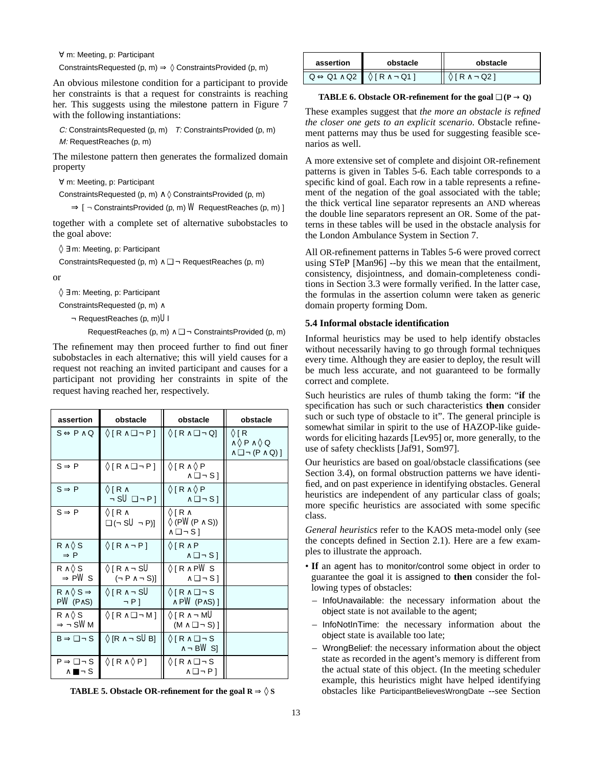∀ m: Meeting, p: Participant

ConstraintsRequested (p, m)  $\Rightarrow$   $\Diamond$  ConstraintsProvided (p, m)

An obvious milestone condition for a participant to provide her constraints is that a request for constraints is reaching her. This suggests using the milestone pattern in Figure 7 with the following instantiations:

C: ConstraintsRequested (p, m) T: ConstraintsProvided (p, m) M: RequestReaches (p, m)

The milestone pattern then generates the formalized domain property

∀ m: Meeting, p: Participant

ConstraintsRequested (p, m)  $\land$   $\Diamond$  ConstraintsProvided (p, m)

⇒ [ ¬ ConstraintsProvided (p, m) *W* RequestReaches (p, m) ]

together with a complete set of alternative subobstacles to the goal above:

◊ ∃ m: Meeting, p: Participant

ConstraintsRequested (p, m)  $\land$   $\Box$   $\neg$  RequestReaches (p, m)

or

◊ ∃ m: Meeting, p: Participant

ConstraintsRequested (p, m) ∧

¬ RequestReaches (p, m)*U*l

RequestReaches (p, m)  $\land$   $\Box$   $\neg$  ConstraintsProvided (p, m)

The refinement may then proceed further to find out finer subobstacles in each alternative; this will yield causes for a request not reaching an invited participant and causes for a participant not providing her constraints in spite of the request having reached her, respectively.

| assertion                                              | obstacle                                                  | obstacle                                                              | obstacle                                                         |
|--------------------------------------------------------|-----------------------------------------------------------|-----------------------------------------------------------------------|------------------------------------------------------------------|
| $S \Leftrightarrow P \wedge Q$                         | ◊[R∧❏¬P]                                                  | $\Diamond$ [ R $\land$ O $\neg$ Q]                                    | $\Diamond$ [ R<br>∧◊Ρ∧◊Q<br>$\wedge \square \neg (P \wedge Q)$ ] |
| $S \Rightarrow P$                                      | ◊[R∧❏¬P]                                                  | ◊⊺R ∧ ◊ P<br>$\wedge$ $\square$ $\neg$ S 1                            |                                                                  |
| $S \Rightarrow P$                                      | $\Diamond$ [R $\land$<br>$\neg$ S $U \Box \neg P$ ]       | ◊ [ R ∧ ◊ P<br>$\land$ $\Box$ $\lnot$ S ]                             |                                                                  |
| $S \Rightarrow P$                                      | $\Diamond$ [ R $\land$<br>$\Box$ (¬ S $U$ ¬ P)]           | $\Diamond$ [ R $\land$<br>$\Diamond$ (P $W(P \land S)$ )<br>∧ □ ¬ S ] |                                                                  |
| $R \wedge \Diamond S$<br>$\Rightarrow P$               | $\Diamond$ [R $\land$ ¬ P ]                               | $\Diamond$ [ R $\land$ P<br>$\wedge$ $\square$ $\neg$ S 1             |                                                                  |
| $R \wedge \Diamond S$<br>$\Rightarrow$ PWS             | $\Diamond$ [R $\land$ ¬ S $U$<br>$(\neg P \land \neg S)]$ | ◊IR∧PWS<br>$\land$ $\Box$ $\lnot$ S ]                                 |                                                                  |
| $R \wedge \Diamond S \Rightarrow$<br>$P W(P \wedge S)$ | $\Diamond$ [R $\land \neg$ SU<br>$\neg$ Pl                | ◊⊺R ∧ ❏ ¬ S<br>$\wedge$ P $W$ (P $\wedge$ S)]                         |                                                                  |
| $R \wedge \Diamond S$<br>$\Rightarrow$ ¬ S $VM$        | $\Diamond$ [R $\land$ O $\neg$ M ]                        | $\Diamond$ [ R $\land$ ¬ M $U$<br>$(M \wedge \square \neg S)$ ]       |                                                                  |
| $B \Rightarrow \Box \neg S$                            | $\Diamond$ [R $\land \neg$ S $UB$ ]                       | ◊⊺R ∧ ❏ ¬ S<br>$\land \neg$ BWSI                                      |                                                                  |
| $P \Rightarrow \Box \neg S$<br>∧■¬S                    | $0$ $R \wedge 0$ $P1$                                     | $0$ i R $\land$ D $\neg$ S<br>$\wedge$ $\square$ $\neg$ $P$ $\square$ |                                                                  |

**TABLE 5. Obstacle OR-refinement for the goal**  $R \Rightarrow \Diamond S$ 

| assertion                                              | obstacle | obstacle           |
|--------------------------------------------------------|----------|--------------------|
| $Q \Leftrightarrow Q1 \wedge Q2$ $Q[R \wedge \neg Q1]$ |          | $\sqrt{R_A - Q_2}$ |

**TABLE 6. Obstacle OR-refinement for the goal**  $\Box$  **(P**  $\rightarrow$  **Q)** 

These examples suggest that *the more an obstacle is refined the closer one gets to an explicit scenario*. Obstacle refinement patterns may thus be used for suggesting feasible scenarios as well.

A more extensive set of complete and disjoint OR-refinement patterns is given in Tables 5-6. Each table corresponds to a specific kind of goal. Each row in a table represents a refinement of the negation of the goal associated with the table; the thick vertical line separator represents an AND whereas the double line separators represent an OR. Some of the patterns in these tables will be used in the obstacle analysis for the London Ambulance System in Section 7.

All OR-refinement patterns in Tables 5-6 were proved correct using STeP [Man96] --by this we mean that the entailment, consistency, disjointness, and domain-completeness conditions in Section 3.3 were formally verified. In the latter case, the formulas in the assertion column were taken as generic domain property forming Dom.

# **5.4 Informal obstacle identification**

Informal heuristics may be used to help identify obstacles without necessarily having to go through formal techniques every time. Although they are easier to deploy, the result will be much less accurate, and not guaranteed to be formally correct and complete.

Such heuristics are rules of thumb taking the form: "**if** the specification has such or such characteristics **then** consider such or such type of obstacle to it". The general principle is somewhat similar in spirit to the use of HAZOP-like guidewords for eliciting hazards [Lev95] or, more generally, to the use of safety checklists [Jaf91, Som97].

Our heuristics are based on goal/obstacle classifications (see Section 3.4), on formal obstruction patterns we have identified, and on past experience in identifying obstacles. General heuristics are independent of any particular class of goals; more specific heuristics are associated with some specific class.

*General heuristics* refer to the KAOS meta-model only (see the concepts defined in Section 2.1). Here are a few examples to illustrate the approach.

- If an agent has to monitor/control some object in order to guarantee the goal it is assigned to **then** consider the following types of obstacles:
	- InfoUnavailable: the necessary information about the object state is not available to the agent;
	- InfoNotInTime: the necessary information about the object state is available too late;
	- WrongBelief: the necessary information about the object state as recorded in the agent's memory is different from the actual state of this object. (In the meeting scheduler example, this heuristics might have helped identifying obstacles like ParticipantBelievesWrongDate --see Section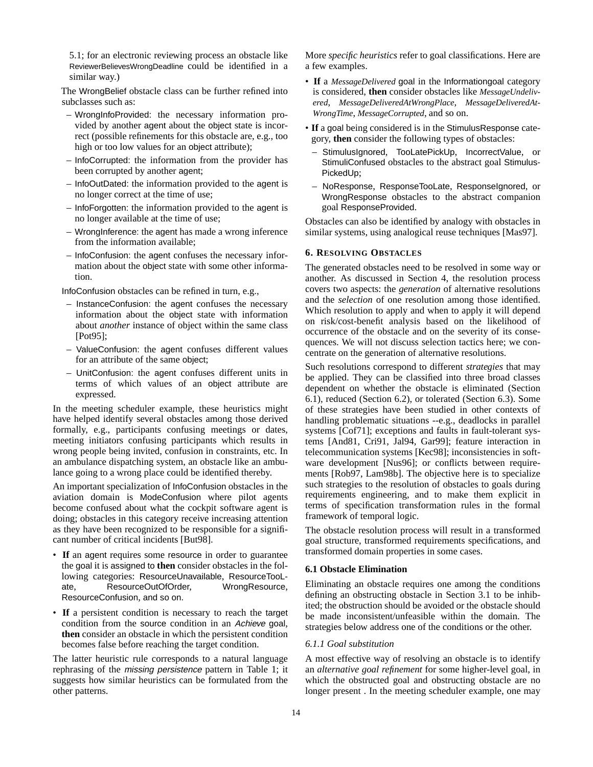5.1; for an electronic reviewing process an obstacle like ReviewerBelievesWrongDeadline could be identified in a similar way.)

The WrongBelief obstacle class can be further refined into subclasses such as:

- WrongInfoProvided: the necessary information provided by another agent about the object state is incorrect (possible refinements for this obstacle are, e.g., too high or too low values for an object attribute);
- InfoCorrupted: the information from the provider has been corrupted by another agent;
- InfoOutDated: the information provided to the agent is no longer correct at the time of use;
- InfoForgotten: the information provided to the agent is no longer available at the time of use;
- WrongInference: the agent has made a wrong inference from the information available;
- InfoConfusion: the agent confuses the necessary information about the object state with some other information.

InfoConfusion obstacles can be refined in turn, e.g.,

- InstanceConfusion: the agent confuses the necessary information about the object state with information about *another* instance of object within the same class [Pot95];
- ValueConfusion: the agent confuses different values for an attribute of the same object;
- UnitConfusion: the agent confuses different units in terms of which values of an object attribute are expressed.

In the meeting scheduler example, these heuristics might have helped identify several obstacles among those derived formally, e.g., participants confusing meetings or dates, meeting initiators confusing participants which results in wrong people being invited, confusion in constraints, etc. In an ambulance dispatching system, an obstacle like an ambulance going to a wrong place could be identified thereby.

An important specialization of InfoConfusion obstacles in the aviation domain is ModeConfusion where pilot agents become confused about what the cockpit software agent is doing; obstacles in this category receive increasing attention as they have been recognized to be responsible for a significant number of critical incidents [But98].

- **If** an agent requires some resource in order to guarantee the goal it is assigned to **then** consider obstacles in the following categories: ResourceUnavailable, ResourceTooLate, ResourceOutOfOrder, WrongResource, ResourceConfusion, and so on.
- **If** a persistent condition is necessary to reach the target condition from the source condition in an Achieve goal, **then** consider an obstacle in which the persistent condition becomes false before reaching the target condition.

The latter heuristic rule corresponds to a natural language rephrasing of the missing persistence pattern in Table 1; it suggests how similar heuristics can be formulated from the other patterns.

More *specific heuristics* refer to goal classifications. Here are a few examples.

- **If** a *MessageDelivered* goal in the Informationgoal category is considered, **then** consider obstacles like *MessageUndelivered*, *MessageDeliveredAtWrongPlace*, *MessageDeliveredAt-WrongTime*, *MessageCorrupted*, and so on.
- **If** a goal being considered is in the StimulusResponse category, **then** consider the following types of obstacles:
	- StimulusIgnored, TooLatePickUp, IncorrectValue, or StimuliConfused obstacles to the abstract goal Stimulus-PickedUp;
- NoResponse, ResponseTooLate, ResponseIgnored, or WrongResponse obstacles to the abstract companion goal ResponseProvided.

Obstacles can also be identified by analogy with obstacles in similar systems, using analogical reuse techniques [Mas97].

# **6. RESOLVING OBSTACLES**

The generated obstacles need to be resolved in some way or another. As discussed in Section 4, the resolution process covers two aspects: the *generation* of alternative resolutions and the *selection* of one resolution among those identified. Which resolution to apply and when to apply it will depend on risk/cost-benefit analysis based on the likelihood of occurrence of the obstacle and on the severity of its consequences. We will not discuss selection tactics here; we concentrate on the generation of alternative resolutions.

Such resolutions correspond to different *strategies* that may be applied. They can be classified into three broad classes dependent on whether the obstacle is eliminated (Section 6.1), reduced (Section 6.2), or tolerated (Section 6.3). Some of these strategies have been studied in other contexts of handling problematic situations --e.g., deadlocks in parallel systems [Cof71]; exceptions and faults in fault-tolerant systems [And81, Cri91, Jal94, Gar99]; feature interaction in telecommunication systems [Kec98]; inconsistencies in software development [Nus96]; or conflicts between requirements [Rob97, Lam98b]. The objective here is to specialize such strategies to the resolution of obstacles to goals during requirements engineering, and to make them explicit in terms of specification transformation rules in the formal framework of temporal logic.

The obstacle resolution process will result in a transformed goal structure, transformed requirements specifications, and transformed domain properties in some cases.

#### **6.1 Obstacle Elimination**

Eliminating an obstacle requires one among the conditions defining an obstructing obstacle in Section 3.1 to be inhibited; the obstruction should be avoided or the obstacle should be made inconsistent/unfeasible within the domain. The strategies below address one of the conditions or the other.

# *6.1.1 Goal substitution*

A most effective way of resolving an obstacle is to identify an *alternative goal refinement* for some higher-level goal, in which the obstructed goal and obstructing obstacle are no longer present . In the meeting scheduler example, one may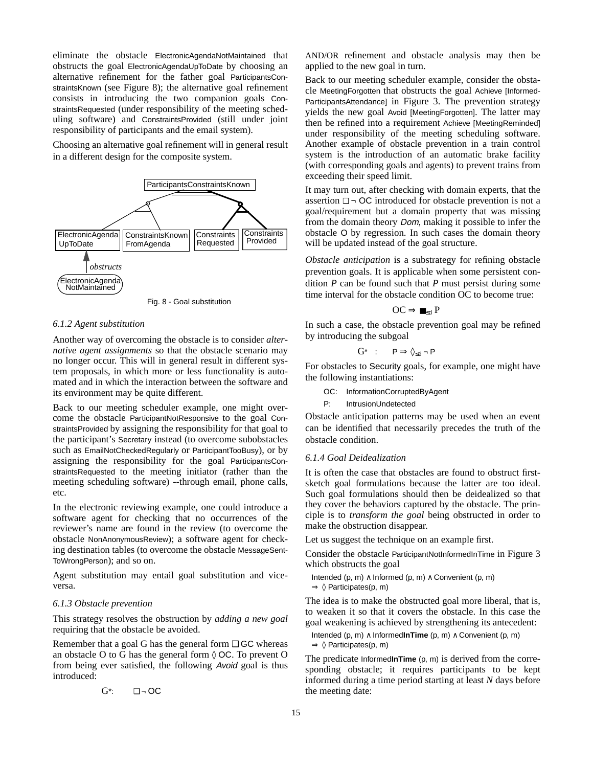eliminate the obstacle ElectronicAgendaNotMaintained that obstructs the goal ElectronicAgendaUpToDate by choosing an alternative refinement for the father goal ParticipantsConstraintsKnown (see Figure 8); the alternative goal refinement consists in introducing the two companion goals ConstraintsRequested (under responsibility of the meeting scheduling software) and ConstraintsProvided (still under joint responsibility of participants and the email system).

Choosing an alternative goal refinement will in general result in a different design for the composite system.



Fig. 8 - Goal substitution

#### *6.1.2 Agent substitution*

Another way of overcoming the obstacle is to consider *alternative agent assignments* so that the obstacle scenario may no longer occur. This will in general result in different system proposals, in which more or less functionality is automated and in which the interaction between the software and its environment may be quite different.

Back to our meeting scheduler example, one might overcome the obstacle ParticipantNotResponsive to the goal ConstraintsProvided by assigning the responsibility for that goal to the participant's Secretary instead (to overcome subobstacles such as EmailNotCheckedRegularly or ParticipantTooBusy), or by assigning the responsibility for the goal ParticipantsConstraintsRequested to the meeting initiator (rather than the meeting scheduling software) --through email, phone calls, etc.

In the electronic reviewing example, one could introduce a software agent for checking that no occurrences of the reviewer's name are found in the review (to overcome the obstacle NonAnonymousReview); a software agent for checking destination tables (to overcome the obstacle MessageSent-ToWrongPerson); and so on.

Agent substitution may entail goal substitution and viceversa.

# *6.1.3 Obstacle prevention*

This strategy resolves the obstruction by *adding a new goal* requiring that the obstacle be avoided.

Remember that a goal G has the general form  $\Box$  GC whereas an obstacle O to G has the general form  $\Diamond$  OC. To prevent O from being ever satisfied, the following Avoid goal is thus introduced:

$$
G^*:\qquad \square \to OC
$$

AND/OR refinement and obstacle analysis may then be applied to the new goal in turn.

Back to our meeting scheduler example, consider the obstacle MeetingForgotten that obstructs the goal Achieve [Informed-ParticipantsAttendance] in Figure 3. The prevention strategy yields the new goal Avoid [MeetingForgotten]. The latter may then be refined into a requirement Achieve [MeetingReminded] under responsibility of the meeting scheduling software. Another example of obstacle prevention in a train control system is the introduction of an automatic brake facility (with corresponding goals and agents) to prevent trains from exceeding their speed limit.

It may turn out, after checking with domain experts, that the assertion ❑ ¬ OC introduced for obstacle prevention is not a goal/requirement but a domain property that was missing from the domain theory Dom, making it possible to infer the obstacle O by regression. In such cases the domain theory will be updated instead of the goal structure.

*Obstacle anticipation* is a substrategy for refining obstacle prevention goals. It is applicable when some persistent condition *P* can be found such that *P* must persist during some time interval for the obstacle condition OC to become true:

$$
\mathrm{OC} \Rightarrow \blacksquare_{\leq d} \mathrm{P}
$$

In such a case, the obstacle prevention goal may be refined by introducing the subgoal

$$
G^* : P \Rightarrow \Diamond_{\leq d} \neg P
$$

For obstacles to Security goals, for example, one might have the following instantiations:

- OC: InformationCorruptedByAgent
- P: IntrusionUndetected

Obstacle anticipation patterns may be used when an event can be identified that necessarily precedes the truth of the obstacle condition.

#### *6.1.4 Goal Deidealization*

It is often the case that obstacles are found to obstruct firstsketch goal formulations because the latter are too ideal. Such goal formulations should then be deidealized so that they cover the behaviors captured by the obstacle. The principle is to *transform the goal* being obstructed in order to make the obstruction disappear.

Let us suggest the technique on an example first.

Consider the obstacle ParticipantNotInformedInTime in Figure 3 which obstructs the goal

```
Intended (p, m) \land Informed (p, m) \land Convenient (p, m)
⇒ ◊ Participates(p, m)
```
The idea is to make the obstructed goal more liberal, that is, to weaken it so that it covers the obstacle. In this case the goal weakening is achieved by strengthening its antecedent:

Intended (p, m) ∧ Informed**InTime** (p, m) ∧ Convenient (p, m)

⇒ ◊ Participates(p, m)

The predicate Informed**InTime** (p, m) is derived from the corresponding obstacle; it requires participants to be kept informed during a time period starting at least *N* days before the meeting date: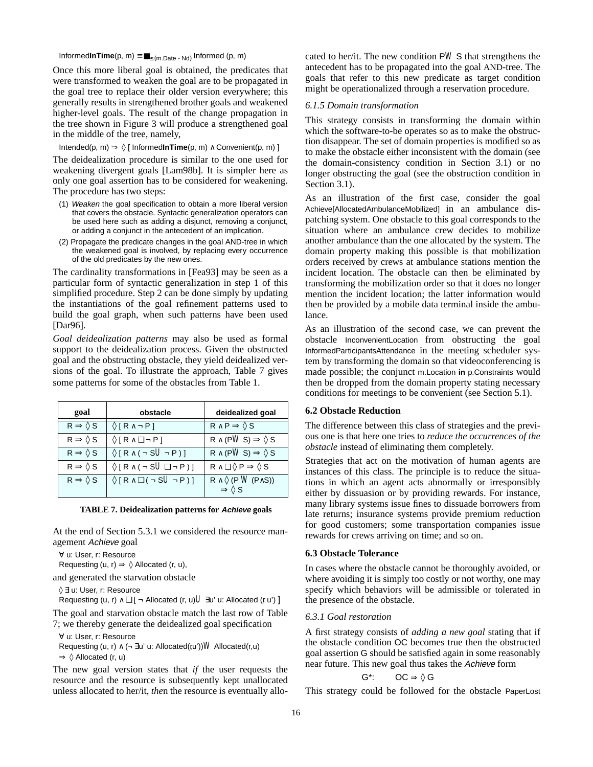Informed**InTime**(p, m) ≡ ■≤ (m.Date - Nd) Informed (p, m)

Once this more liberal goal is obtained, the predicates that were transformed to weaken the goal are to be propagated in the goal tree to replace their older version everywhere; this generally results in strengthened brother goals and weakened higher-level goals. The result of the change propagation in the tree shown in Figure 3 will produce a strengthened goal in the middle of the tree, namely,

Intended(p, m) ⇒ ◊ [ Informed**InTime**(p, m) ∧ Convenient(p, m) ]

The deidealization procedure is similar to the one used for weakening divergent goals [Lam98b]. It is simpler here as only one goal assertion has to be considered for weakening. The procedure has two steps:

- (1) Weaken the goal specification to obtain a more liberal version that covers the obstacle. Syntactic generalization operators can be used here such as adding a disjunct, removing a conjunct, or adding a conjunct in the antecedent of an implication.
- (2) Propagate the predicate changes in the goal AND-tree in which the weakened goal is involved, by replacing every occurrence of the old predicates by the new ones.

The cardinality transformations in [Fea93] may be seen as a particular form of syntactic generalization in step 1 of this simplified procedure. Step 2 can be done simply by updating the instantiations of the goal refinement patterns used to build the goal graph, when such patterns have been used [Dar96].

*Goal deidealization patterns* may also be used as formal support to the deidealization process. Given the obstructed goal and the obstructing obstacle, they yield deidealized versions of the goal. To illustrate the approach, Table 7 gives some patterns for some of the obstacles from Table 1.

| goal                       | obstacle                                              | deidealized goal                                                    |
|----------------------------|-------------------------------------------------------|---------------------------------------------------------------------|
| $R \Rightarrow \Diamond S$ | $\sqrt{[R_{\wedge} - P]}$                             | $R \wedge P \implies \Diamond S$                                    |
| $R \implies \Diamond S$    | $\Diamond$ [R $\land$ $\Box$ $\neg$ P]                | $R \wedge (PWS) \Rightarrow \Diamond S$                             |
| $R \implies \Diamond S$    | $\sqrt{[R_{\wedge}(\neg S U \neg P)]}$                | $R \wedge (PWS) \Rightarrow \Diamond S$                             |
| $R \Rightarrow \Diamond S$ | $\sqrt{[R_{\wedge} (\neg S U \Box \neg P)]}$          | $R \wedge \Box \lozenge P \Rightarrow \lozenge S$                   |
| $R \implies \Diamond S$    | $\Diamond$ [R $\land$ <b>Q</b> ( $\neg$ SU $\neg$ P)] | $R \wedge \Diamond (P W(P \wedge S))$<br>$\Rightarrow$ $\Diamond$ S |

**TABLE 7. Deidealization patterns for Achieve goals**

At the end of Section 5.3.1 we considered the resource management Achieve goal

∀ u: User, r: Resource

Requesting (u, r)  $\Rightarrow$   $\Diamond$  Allocated (r, u),

and generated the starvation obstacle

◊ ∃ u: User, r: Resource

Requesting (u, r)  $\land$  **□** [ ¬ Allocated (r, u)  $U \exists u'$  u: Allocated (r u') ]

The goal and starvation obstacle match the last row of Table 7; we thereby generate the deidealized goal specification

∀ u: User, r: Resource

Requesting (u, r)  $\land$  (¬ ∃u' u: Allocated(ru')) *W* Allocated(r,u) ⇒ ◊ Allocated (r, u)

The new goal version states that *if* the user requests the resource and the resource is subsequently kept unallocated unless allocated to her/it, *the*n the resource is eventually allocated to her/it. The new condition P*W* S that strengthens the antecedent has to be propagated into the goal AND-tree. The goals that refer to this new predicate as target condition might be operationalized through a reservation procedure.

# *6.1.5 Domain transformation*

This strategy consists in transforming the domain within which the software-to-be operates so as to make the obstruction disappear. The set of domain properties is modified so as to make the obstacle either inconsistent with the domain (see the domain-consistency condition in Section 3.1) or no longer obstructing the goal (see the obstruction condition in Section 3.1).

As an illustration of the first case, consider the goal Achieve[AllocatedAmbulanceMobilized] in an ambulance dispatching system. One obstacle to this goal corresponds to the situation where an ambulance crew decides to mobilize another ambulance than the one allocated by the system. The domain property making this possible is that mobilization orders received by crews at ambulance stations mention the incident location. The obstacle can then be eliminated by transforming the mobilization order so that it does no longer mention the incident location; the latter information would then be provided by a mobile data terminal inside the ambulance.

As an illustration of the second case, we can prevent the obstacle InconvenientLocation from obstructing the goal InformedParticipantsAttendance in the meeting scheduler system by transforming the domain so that videoconferencing is made possible; the conjunct m.Location **in** p.Constraints would then be dropped from the domain property stating necessary conditions for meetings to be convenient (see Section 5.1).

#### **6.2 Obstacle Reduction**

The difference between this class of strategies and the previous one is that here one tries to *reduce the occurrences of the obstacle* instead of eliminating them completely.

Strategies that act on the motivation of human agents are instances of this class. The principle is to reduce the situations in which an agent acts abnormally or irresponsibly either by dissuasion or by providing rewards. For instance, many library systems issue fines to dissuade borrowers from late returns; insurance systems provide premium reduction for good customers; some transportation companies issue rewards for crews arriving on time; and so on.

# **6.3 Obstacle Tolerance**

In cases where the obstacle cannot be thoroughly avoided, or where avoiding it is simply too costly or not worthy, one may specify which behaviors will be admissible or tolerated in the presence of the obstacle.

#### *6.3.1 Goal restoration*

A first strategy consists of *adding a new goal* stating that if the obstacle condition OC becomes true then the obstructed goal assertion G should be satisfied again in some reasonably near future. This new goal thus takes the Achieve form

#### $G^*$ : OC ⇒  $\Diamond G$

This strategy could be followed for the obstacle PaperLost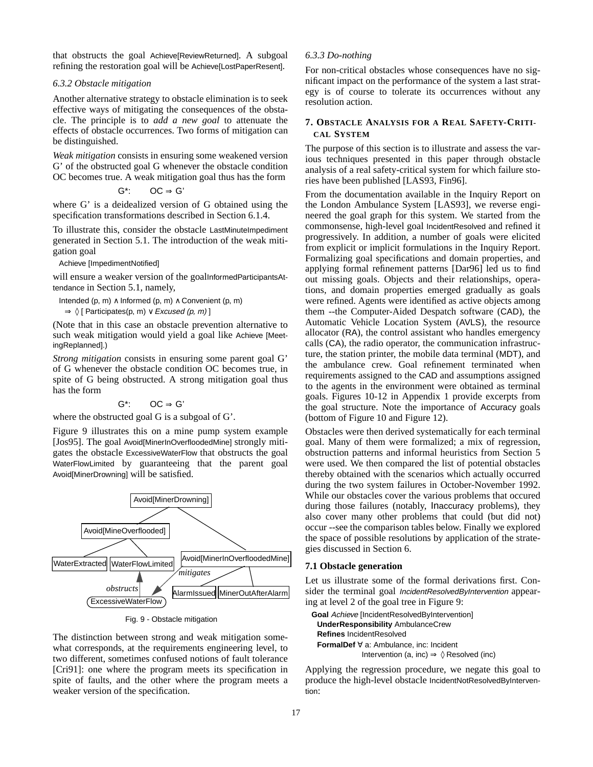that obstructs the goal Achieve[ReviewReturned]. A subgoal refining the restoration goal will be Achieve[LostPaperResent].

#### *6.3.2 Obstacle mitigation*

Another alternative strategy to obstacle elimination is to seek effective ways of mitigating the consequences of the obstacle. The principle is to *add a new goal* to attenuate the effects of obstacle occurrences. Two forms of mitigation can be distinguished.

*Weak mitigation* consists in ensuring some weakened version G' of the obstructed goal G whenever the obstacle condition OC becomes true. A weak mitigation goal thus has the form

$$
G^*\!\!:\qquad OC\Rightarrow G'\;
$$

where G' is a deidealized version of G obtained using the specification transformations described in Section 6.1.4.

To illustrate this, consider the obstacle LastMinuteImpediment generated in Section 5.1. The introduction of the weak mitigation goal

Achieve [ImpedimentNotified]

will ensure a weaker version of the goalInformedParticipantsAttendance in Section 5.1, namely,

Intended (p, m)  $\land$  Informed (p, m)  $\land$  Convenient (p, m)  $\Rightarrow$   $\Diamond$  [ Participates(p, m)  $\lor$  Excused (p, m) ]

(Note that in this case an obstacle prevention alternative to such weak mitigation would yield a goal like Achieve [MeetingReplanned].)

*Strong mitigation* consists in ensuring some parent goal G' of G whenever the obstacle condition OC becomes true, in spite of G being obstructed. A strong mitigation goal thus has the form

$$
G^*\colon O C \Rightarrow G'
$$

where the obstructed goal G is a subgoal of G'.

Figure 9 illustrates this on a mine pump system example [Jos95]. The goal Avoid[MinerInOverfloodedMine] strongly mitigates the obstacle ExcessiveWaterFlow that obstructs the goal WaterFlowLimited by guaranteeing that the parent goal Avoid[MinerDrowning] will be satisfied.



Fig. 9 - Obstacle mitigation

The distinction between strong and weak mitigation somewhat corresponds, at the requirements engineering level, to two different, sometimes confused notions of fault tolerance [Cri91]: one where the program meets its specification in spite of faults, and the other where the program meets a weaker version of the specification.

#### *6.3.3 Do-nothing*

For non-critical obstacles whose consequences have no significant impact on the performance of the system a last strategy is of course to tolerate its occurrences without any resolution action.

# **7. OBSTACLE ANALYSIS FOR A REAL SAFETY-CRITI-CAL SYSTEM**

The purpose of this section is to illustrate and assess the various techniques presented in this paper through obstacle analysis of a real safety-critical system for which failure stories have been published [LAS93, Fin96].

From the documentation available in the Inquiry Report on the London Ambulance System [LAS93], we reverse engineered the goal graph for this system. We started from the commonsense, high-level goal IncidentResolved and refined it progressively. In addition, a number of goals were elicited from explicit or implicit formulations in the Inquiry Report. Formalizing goal specifications and domain properties, and applying formal refinement patterns [Dar96] led us to find out missing goals. Objects and their relationships, operations, and domain properties emerged gradually as goals were refined. Agents were identified as active objects among them --the Computer-Aided Despatch software (CAD), the Automatic Vehicle Location System (AVLS), the resource allocator (RA), the control assistant who handles emergency calls (CA), the radio operator, the communication infrastructure, the station printer, the mobile data terminal (MDT), and the ambulance crew. Goal refinement terminated when requirements assigned to the CAD and assumptions assigned to the agents in the environment were obtained as terminal goals. Figures 10-12 in Appendix 1 provide excerpts from the goal structure. Note the importance of Accuracy goals (bottom of Figure 10 and Figure 12).

Obstacles were then derived systematically for each terminal goal. Many of them were formalized; a mix of regression, obstruction patterns and informal heuristics from Section 5 were used. We then compared the list of potential obstacles thereby obtained with the scenarios which actually occurred during the two system failures in October-November 1992. While our obstacles cover the various problems that occured during those failures (notably, Inaccuracy problems), they also cover many other problems that could (but did not) occur --see the comparison tables below. Finally we explored the space of possible resolutions by application of the strategies discussed in Section 6.

# **7.1 Obstacle generation**

Let us illustrate some of the formal derivations first. Consider the terminal goal IncidentResolvedByIntervention appearing at level 2 of the goal tree in Figure 9:

**Goal** Achieve [IncidentResolvedByIntervention] **UnderResponsibility** AmbulanceCrew **Refines** IncidentResolved **FormalDef** ∀ a: Ambulance, inc: Incident Intervention (a, inc)  $\Rightarrow$   $\Diamond$  Resolved (inc)

Applying the regression procedure, we negate this goal to produce the high-level obstacle IncidentNotResolvedByIntervention: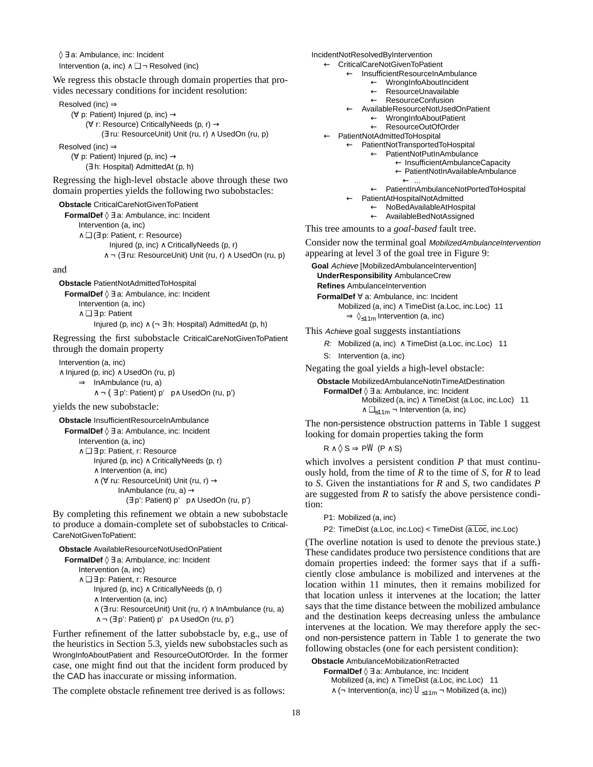◊ ∃ a: Ambulance, inc: Incident Intervention (a, inc)  $\land$   $\square$   $\neg$  Resolved (inc)

We regress this obstacle through domain properties that provides necessary conditions for incident resolution:

```
Resolved (inc) ⇒
    (\forall p: Patient) Injured (p, inc) \rightarrow(\forall r: Resource) CriticallyNeeds (p, r) \rightarrow(∃ ru: ResourceUnit) Unit (ru, r) ∧ UsedOn (ru, p)
Resolved (inc) ⇒
```
 $(\forall p:$  Patient) Injured (p, inc)  $\rightarrow$ (∃ h: Hospital) AdmittedAt (p, h)

Regressing the high-level obstacle above through these two domain properties yields the following two subobstacles:

```
Obstacle CriticalCareNotGivenToPatient
 FormalDef ◊ ∃ a: Ambulance, inc: Incident
     Intervention (a, inc)
     ∧ ❑ (∃ p: Patient, r: Resource)
              Injured (p, inc) ∧ CriticallyNeeds (p, r)
             ∧ ¬ (∃ ru: ResourceUnit) Unit (ru, r) ∧ UsedOn (ru, p)
```
and

**Obstacle** PatientNotAdmittedToHospital

**FormalDef** ◊ ∃ a: Ambulance, inc: Incident Intervention (a, inc) ∧ ❑ ∃ p: Patient Injured (p, inc)  $\land$  (¬  $\exists$  h: Hospital) AdmittedAt (p, h)

Regressing the first subobstacle CriticalCareNotGivenToPatient through the domain property

Intervention (a, inc) ∧ Injured (p, inc) ∧ UsedOn (ru, p) ⇒ InAmbulance (ru, a) ∧ ¬ ( ∃ p': Patient) p' p∧ UsedOn (ru, p')

yields the new subobstacle:

**Obstacle** InsufficientResourceInAmbulance **FormalDef** ◊ ∃ a: Ambulance, inc: Incident Intervention (a, inc) ∧ ❑ ∃ p: Patient, r: Resource Injured (p, inc) ∧ CriticallyNeeds (p, r) ∧ Intervention (a, inc) ∧ (∀ ru: ResourceUnit) Unit (ru, r) → InAmbulance (ru, a)  $\rightarrow$ (∃ p': Patient) p' p∧ UsedOn (ru, p')

By completing this refinement we obtain a new subobstacle to produce a domain-complete set of subobstacles to Critical-CareNotGivenToPatient:

```
Obstacle AvailableResourceNotUsedOnPatient
 FormalDef ◊ ∃ a: Ambulance, inc: Incident
     Intervention (a, inc)
     ∧ ❑ ∃ p: Patient, r: Resource
          Injured (p, inc) ∧ CriticallyNeeds (p, r)
          ∧ Intervention (a, inc)
          ∧ (∃ ru: ResourceUnit) Unit (ru, r) ∧ InAmbulance (ru, a)
           ∧ ¬ (∃ p': Patient) p' p∧ UsedOn (ru, p')
```
Further refinement of the latter subobstacle by, e.g., use of the heuristics in Section 5.3, yields new subobstacles such as WrongInfoAboutPatient and ResourceOutOfOrder. In the former case, one might find out that the incident form produced by the CAD has inaccurate or missing information.

The complete obstacle refinement tree derived is as follows:

IncidentNotResolvedByIntervention ← CriticalCareNotGivenToPatient ← InsufficientResourceInAmbulance ← WrongInfoAboutIncident ← ResourceUnavailable ← ResourceConfusion ← AvailableResourceNotUsedOnPatient ← WrongInfoAboutPatient ← ResourceOutOfOrder ← PatientNotAdmittedToHospital ← PatientNotTransportedToHospital ← PatientNotPutInAmbulance ← InsufficientAmbulanceCapacity ← PatientNotInAvailableAmbulance ← ... ← PatientInAmbulanceNotPortedToHospital ← PatientAtHospitalNotAdmitted ← NoBedAvailableAtHospital ← AvailableBedNotAssigned This tree amounts to a *goal-based* fault tree.

Consider now the terminal goal MobilizedAmbulanceIntervention appearing at level 3 of the goal tree in Figure 9:

**Goal** Achieve [MobilizedAmbulanceIntervention] **UnderResponsibility** AmbulanceCrew **Refines** AmbulanceIntervention **FormalDef** ∀ a: Ambulance, inc: Incident Mobilized (a, inc) ∧ TimeDist (a.Loc, inc.Loc) 11  $\Rightarrow$   $\Diamond_{\leq 11m}$  Intervention (a, inc)

This Achieve goal suggests instantiations

- R: Mobilized (a, inc)  $\land$  TimeDist (a.Loc, inc.Loc) 11
- S: Intervention (a, inc)

Negating the goal yields a high-level obstacle:

**Obstacle** MobilizedAmbulanceNotInTimeAtDestination **FormalDef** ◊ ∃ a: Ambulance, inc: Incident Mobilized (a, inc) ∧ TimeDist (a.Loc, inc.Loc) 11 ∧ ❑≤11m ¬ Intervention (a, inc)

The non-persistence obstruction patterns in Table 1 suggest looking for domain properties taking the form

```
R \wedge \theta S \Rightarrow P W (P \wedge S)
```
which involves a persistent condition *P* that must continuously hold, from the time of *R* to the time of *S*, for *R* to lead to *S*. Given the instantiations for *R* and *S*, two candidates *P* are suggested from *R* to satisfy the above persistence condition:

P1: Mobilized (a, inc)

P2: TimeDist (a.Loc, inc.Loc) < TimeDist (a.Loc, inc.Loc)

(The overline notation is used to denote the previous state.) These candidates produce two persistence conditions that are domain properties indeed: the former says that if a sufficiently close ambulance is mobilized and intervenes at the location within 11 minutes, then it remains mobilized for that location unless it intervenes at the location; the latter says that the time distance between the mobilized ambulance and the destination keeps decreasing unless the ambulance intervenes at the location. We may therefore apply the second non-persistence pattern in Table 1 to generate the two following obstacles (one for each persistent condition):

**Obstacle** AmbulanceMobilizationRetracted

**FormalDef** ◊ ∃ a: Ambulance, inc: Incident Mobilized (a, inc) ∧ TimeDist (a.Loc, inc.Loc) 11  $\wedge$  (¬ Intervention(a, inc)  $U_{\leq 11m}$  ¬ Mobilized (a, inc))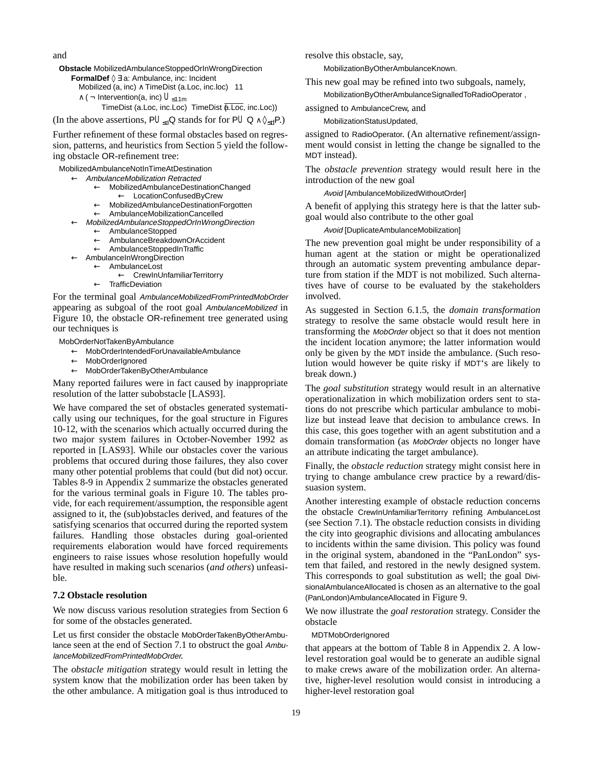and

```
Obstacle MobilizedAmbulanceStoppedOrInWrongDirection
   FormalDef ◊ ∃ a: Ambulance, inc: Incident
     Mobilized (a, inc) ∧ TimeDist (a.Loc, inc.loc) 11
     ∧ ( ¬ Intervention(a, inc) U≤11m
            TimeDist (a.Loc, inc.Loc) TimeDist (a.Loc, inc.Loc))
```
(In the above assertions, P $U_{\leq d}Q$  stands for for PUQ  $\land \Diamond_{\leq d}P$ .)

Further refinement of these formal obstacles based on regression, patterns, and heuristics from Section 5 yield the following obstacle OR-refinement tree:

MobilizedAmbulanceNotInTimeAtDestination

- ← AmbulanceMobilization Retracted
	- ← MobilizedAmbulanceDestinationChanged
	- ← LocationConfusedByCrew
	- ← MobilizedAmbulanceDestinationForgotten
	- ← AmbulanceMobilizationCancelled
	- ← MobilizedAmbulanceStoppedOrInWrongDirection ← AmbulanceStopped
		- ← AmbulanceBreakdownOrAccident
		- ← AmbulanceStoppedInTraffic
	- ← AmbulanceInWrongDirection
		- ← AmbulanceLost
			- ← CrewInUnfamiliarTerritorry
			- ← TrafficDeviation

For the terminal goal AmbulanceMobilizedFromPrintedMobOrder appearing as subgoal of the root goal AmbulanceMobilized in Figure 10, the obstacle OR-refinement tree generated using our techniques is

MobOrderNotTakenByAmbulance

- ← MobOrderIntendedForUnavailableAmbulance
- ← MobOrderIgnored
- ← MobOrderTakenByOtherAmbulance

Many reported failures were in fact caused by inappropriate resolution of the latter subobstacle [LAS93].

We have compared the set of obstacles generated systematically using our techniques, for the goal structure in Figures 10-12, with the scenarios which actually occurred during the two major system failures in October-November 1992 as reported in [LAS93]. While our obstacles cover the various problems that occured during those failures, they also cover many other potential problems that could (but did not) occur. Tables 8-9 in Appendix 2 summarize the obstacles generated for the various terminal goals in Figure 10. The tables provide, for each requirement/assumption, the responsible agent assigned to it, the (sub)obstacles derived, and features of the satisfying scenarios that occurred during the reported system failures. Handling those obstacles during goal-oriented requirements elaboration would have forced requirements engineers to raise issues whose resolution hopefully would have resulted in making such scenarios (*and others*) unfeasible.

# **7.2 Obstacle resolution**

We now discuss various resolution strategies from Section 6 for some of the obstacles generated.

Let us first consider the obstacle MobOrderTakenByOtherAmbulance seen at the end of Section 7.1 to obstruct the goal AmbulanceMobilizedFromPrintedMobOrder.

The *obstacle mitigation* strategy would result in letting the system know that the mobilization order has been taken by the other ambulance. A mitigation goal is thus introduced to resolve this obstacle, say,

MobilizationByOtherAmbulanceKnown.

This new goal may be refined into two subgoals, namely, MobilizationByOtherAmbulanceSignalledToRadioOperator ,

assigned to AmbulanceCrew, and

MobilizationStatusUpdated,

assigned to RadioOperator. (An alternative refinement/assignment would consist in letting the change be signalled to the MDT instead).

The *obstacle prevention* strategy would result here in the introduction of the new goal

#### Avoid [AmbulanceMobilizedWithoutOrder]

A benefit of applying this strategy here is that the latter subgoal would also contribute to the other goal

Avoid [DuplicateAmbulanceMobilization]

The new prevention goal might be under responsibility of a human agent at the station or might be operationalized through an automatic system preventing ambulance departure from station if the MDT is not mobilized. Such alternatives have of course to be evaluated by the stakeholders involved.

As suggested in Section 6.1.5, the *domain transformation* strategy to resolve the same obstacle would result here in transforming the MobOrder object so that it does not mention the incident location anymore; the latter information would only be given by the MDT inside the ambulance. (Such resolution would however be quite risky if MDT's are likely to break down.)

The *goal substitution* strategy would result in an alternative operationalization in which mobilization orders sent to stations do not prescribe which particular ambulance to mobilize but instead leave that decision to ambulance crews. In this case, this goes together with an agent substitution and a domain transformation (as MobOrder objects no longer have an attribute indicating the target ambulance).

Finally, the *obstacle reduction* strategy might consist here in trying to change ambulance crew practice by a reward/dissuasion system.

Another interesting example of obstacle reduction concerns the obstacle CrewInUnfamiliarTerritorry refining AmbulanceLost (see Section 7.1). The obstacle reduction consists in dividing the city into geographic divisions and allocating ambulances to incidents within the same division. This policy was found in the original system, abandoned in the "PanLondon" system that failed, and restored in the newly designed system. This corresponds to goal substitution as well; the goal DivisionalAmbulanceAllocated is chosen as an alternative to the goal (PanLondon)AmbulanceAllocated in Figure 9.

We now illustrate the *goal restoration* strategy. Consider the obstacle

MDTMobOrderIgnored

that appears at the bottom of Table 8 in Appendix 2. A lowlevel restoration goal would be to generate an audible signal to make crews aware of the mobilization order. An alternative, higher-level resolution would consist in introducing a higher-level restoration goal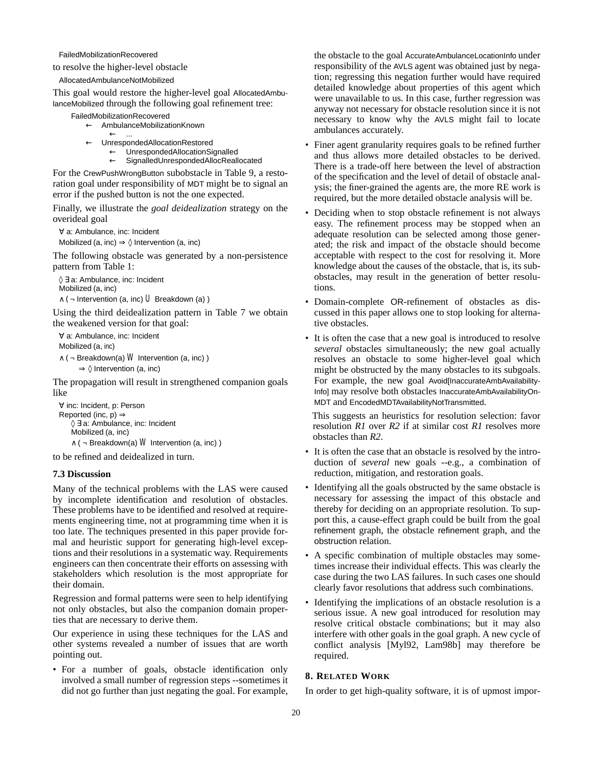FailedMobilizationRecovered

to resolve the higher-level obstacle

AllocatedAmbulanceNotMobilized

This goal would restore the higher-level goal AllocatedAmbulanceMobilized through the following goal refinement tree:

```
FailedMobilizationRecovered
   ← AmbulanceMobilizationKnown
         ← ...
```
← UnrespondedAllocationRestored ← UnrespondedAllocationSignalled ← SignalledUnrespondedAllocReallocated

For the CrewPushWrongButton subobstacle in Table 9, a restoration goal under responsibility of MDT might be to signal an error if the pushed button is not the one expected.

Finally, we illustrate the *goal deidealization* strategy on the overideal goal

∀ a: Ambulance, inc: Incident

Mobilized (a, inc)  $\Rightarrow$   $\Diamond$  Intervention (a, inc)

The following obstacle was generated by a non-persistence pattern from Table 1:

```
◊ ∃ a: Ambulance, inc: Incident
Mobilized (a, inc)
∧ ( ¬ Intervention (a, inc) U Breakdown (a) )
```
Using the third deidealization pattern in Table 7 we obtain

the weakened version for that goal: ∀ a: Ambulance, inc: Incident

```
Mobilized (a, inc)
∧ ( ¬ Breakdown(a) W Intervention (a, inc) )
      ⇒ ◊ Intervention (a, inc)
```
The propagation will result in strengthened companion goals like

```
∀ inc: Incident, p: Person
Reported (inc, p) \Rightarrow◊ ∃ a: Ambulance, inc: Incident
   Mobilized (a, inc)
    ∧ ( ¬ Breakdown(a) W Intervention (a, inc) )
```
to be refined and deidealized in turn.

# **7.3 Discussion**

Many of the technical problems with the LAS were caused by incomplete identification and resolution of obstacles. These problems have to be identified and resolved at requirements engineering time, not at programming time when it is too late. The techniques presented in this paper provide formal and heuristic support for generating high-level exceptions and their resolutions in a systematic way. Requirements engineers can then concentrate their efforts on assessing with stakeholders which resolution is the most appropriate for their domain.

Regression and formal patterns were seen to help identifying not only obstacles, but also the companion domain properties that are necessary to derive them.

Our experience in using these techniques for the LAS and other systems revealed a number of issues that are worth pointing out.

• For a number of goals, obstacle identification only involved a small number of regression steps --sometimes it did not go further than just negating the goal. For example,

the obstacle to the goal AccurateAmbulanceLocationInfo under responsibility of the AVLS agent was obtained just by negation; regressing this negation further would have required detailed knowledge about properties of this agent which were unavailable to us. In this case, further regression was anyway not necessary for obstacle resolution since it is not necessary to know why the AVLS might fail to locate ambulances accurately.

- Finer agent granularity requires goals to be refined further and thus allows more detailed obstacles to be derived. There is a trade-off here between the level of abstraction of the specification and the level of detail of obstacle analysis; the finer-grained the agents are, the more RE work is required, but the more detailed obstacle analysis will be.
- Deciding when to stop obstacle refinement is not always easy. The refinement process may be stopped when an adequate resolution can be selected among those generated; the risk and impact of the obstacle should become acceptable with respect to the cost for resolving it. More knowledge about the causes of the obstacle, that is, its subobstacles, may result in the generation of better resolutions.
- Domain-complete OR-refinement of obstacles as discussed in this paper allows one to stop looking for alternative obstacles.
- It is often the case that a new goal is introduced to resolve *several* obstacles simultaneously; the new goal actually resolves an obstacle to some higher-level goal which might be obstructed by the many obstacles to its subgoals. For example, the new goal Avoid[InaccurateAmbAvailability-Info] may resolve both obstacles InaccurateAmbAvailabilityOn-MDT and EncodedMDTAvailabilityNotTransmitted.

This suggests an heuristics for resolution selection: favor resolution *R1* over *R2* if at similar cost *R1* resolves more obstacles than *R2*.

- It is often the case that an obstacle is resolved by the introduction of *several* new goals --e.g., a combination of reduction, mitigation, and restoration goals.
- Identifying all the goals obstructed by the same obstacle is necessary for assessing the impact of this obstacle and thereby for deciding on an appropriate resolution. To support this, a cause-effect graph could be built from the goal refinement graph, the obstacle refinement graph, and the obstruction relation.
- A specific combination of multiple obstacles may sometimes increase their individual effects. This was clearly the case during the two LAS failures. In such cases one should clearly favor resolutions that address such combinations.
- Identifying the implications of an obstacle resolution is a serious issue. A new goal introduced for resolution may resolve critical obstacle combinations; but it may also interfere with other goals in the goal graph. A new cycle of conflict analysis [Myl92, Lam98b] may therefore be required.

# **8. RELATED WORK**

In order to get high-quality software, it is of upmost impor-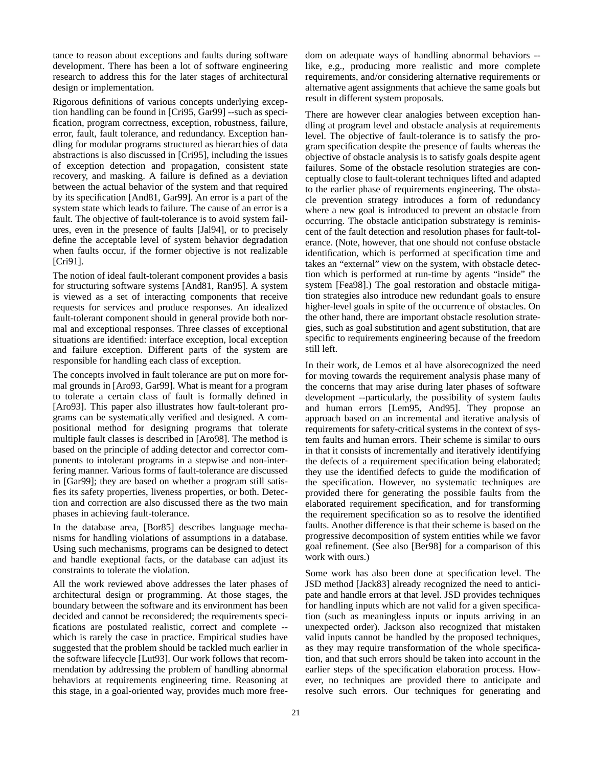tance to reason about exceptions and faults during software development. There has been a lot of software engineering research to address this for the later stages of architectural design or implementation.

Rigorous definitions of various concepts underlying exception handling can be found in [Cri95, Gar99] --such as specification, program correctness, exception, robustness, failure, error, fault, fault tolerance, and redundancy. Exception handling for modular programs structured as hierarchies of data abstractions is also discussed in [Cri95], including the issues of exception detection and propagation, consistent state recovery, and masking. A failure is defined as a deviation between the actual behavior of the system and that required by its specification [And81, Gar99]. An error is a part of the system state which leads to failure. The cause of an error is a fault. The objective of fault-tolerance is to avoid system failures, even in the presence of faults [Jal94], or to precisely define the acceptable level of system behavior degradation when faults occur, if the former objective is not realizable [Cri91].

The notion of ideal fault-tolerant component provides a basis for structuring software systems [And81, Ran95]. A system is viewed as a set of interacting components that receive requests for services and produce responses. An idealized fault-tolerant component should in general provide both normal and exceptional responses. Three classes of exceptional situations are identified: interface exception, local exception and failure exception. Different parts of the system are responsible for handling each class of exception.

The concepts involved in fault tolerance are put on more formal grounds in [Aro93, Gar99]. What is meant for a program to tolerate a certain class of fault is formally defined in [Aro93]. This paper also illustrates how fault-tolerant programs can be systematically verified and designed. A compositional method for designing programs that tolerate multiple fault classes is described in [Aro98]. The method is based on the principle of adding detector and corrector components to intolerant programs in a stepwise and non-interfering manner. Various forms of fault-tolerance are discussed in [Gar99]; they are based on whether a program still satisfies its safety properties, liveness properties, or both. Detection and correction are also discussed there as the two main phases in achieving fault-tolerance.

In the database area, [Bor85] describes language mechanisms for handling violations of assumptions in a database. Using such mechanisms, programs can be designed to detect and handle exeptional facts, or the database can adjust its constraints to tolerate the violation.

All the work reviewed above addresses the later phases of architectural design or programming. At those stages, the boundary between the software and its environment has been decided and cannot be reconsidered; the requirements specifications are postulated realistic, correct and complete - which is rarely the case in practice. Empirical studies have suggested that the problem should be tackled much earlier in the software lifecycle [Lut93]. Our work follows that recommendation by addressing the problem of handling abnormal behaviors at requirements engineering time. Reasoning at this stage, in a goal-oriented way, provides much more freedom on adequate ways of handling abnormal behaviors - like, e.g., producing more realistic and more complete requirements, and/or considering alternative requirements or alternative agent assignments that achieve the same goals but result in different system proposals.

There are however clear analogies between exception handling at program level and obstacle analysis at requirements level. The objective of fault-tolerance is to satisfy the program specification despite the presence of faults whereas the objective of obstacle analysis is to satisfy goals despite agent failures. Some of the obstacle resolution strategies are conceptually close to fault-tolerant techniques lifted and adapted to the earlier phase of requirements engineering. The obstacle prevention strategy introduces a form of redundancy where a new goal is introduced to prevent an obstacle from occurring. The obstacle anticipation substrategy is reminiscent of the fault detection and resolution phases for fault-tolerance. (Note, however, that one should not confuse obstacle identification, which is performed at specification time and takes an "external" view on the system, with obstacle detection which is performed at run-time by agents "inside" the system [Fea98].) The goal restoration and obstacle mitigation strategies also introduce new redundant goals to ensure higher-level goals in spite of the occurrence of obstacles. On the other hand, there are important obstacle resolution strategies, such as goal substitution and agent substitution, that are specific to requirements engineering because of the freedom still left.

In their work, de Lemos et al have alsorecognized the need for moving towards the requirement analysis phase many of the concerns that may arise during later phases of software development --particularly, the possibility of system faults and human errors [Lem95, And95]. They propose an approach based on an incremental and iterative analysis of requirements for safety-critical systems in the context of system faults and human errors. Their scheme is similar to ours in that it consists of incrementally and iteratively identifying the defects of a requirement specification being elaborated; they use the identified defects to guide the modification of the specification. However, no systematic techniques are provided there for generating the possible faults from the elaborated requirement specification, and for transforming the requirement specification so as to resolve the identified faults. Another difference is that their scheme is based on the progressive decomposition of system entities while we favor goal refinement. (See also [Ber98] for a comparison of this work with ours.)

Some work has also been done at specification level. The JSD method [Jack83] already recognized the need to anticipate and handle errors at that level. JSD provides techniques for handling inputs which are not valid for a given specification (such as meaningless inputs or inputs arriving in an unexpected order). Jackson also recognized that mistaken valid inputs cannot be handled by the proposed techniques, as they may require transformation of the whole specification, and that such errors should be taken into account in the earlier steps of the specification elaboration process. However, no techniques are provided there to anticipate and resolve such errors. Our techniques for generating and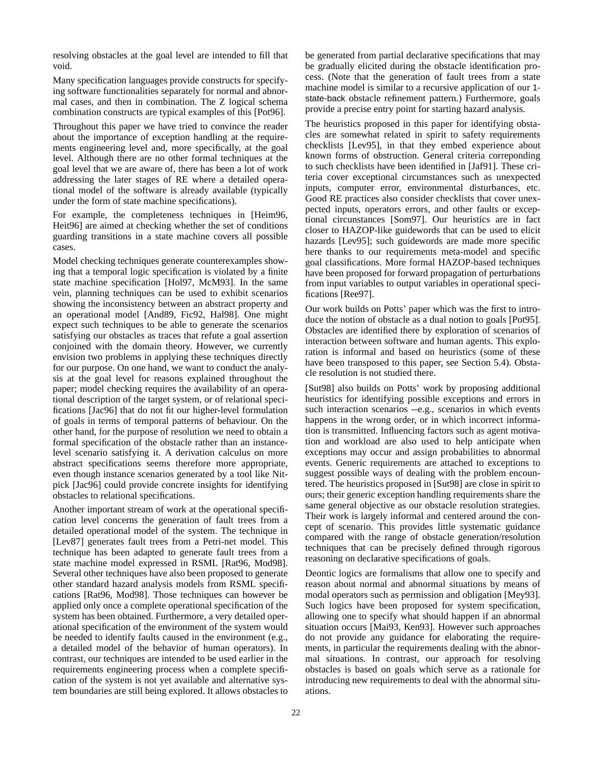resolving obstacles at the goal level are intended to fill that void.

Many specification languages provide constructs for specifying software functionalities separately for normal and abnormal cases, and then in combination. The Z logical schema combination constructs are typical examples of this [Pot96].

Throughout this paper we have tried to convince the reader about the importance of exception handling at the requirements engineering level and, more specifically, at the goal level. Although there are no other formal techniques at the goal level that we are aware of, there has been a lot of work addressing the later stages of RE where a detailed operational model of the software is already available (typically under the form of state machine specifications).

For example, the completeness techniques in [Heim96, Heit96] are aimed at checking whether the set of conditions guarding transitions in a state machine covers all possible cases.

Model checking techniques generate counterexamples showing that a temporal logic specification is violated by a finite state machine specification [Hol97, McM93]. In the same vein, planning techniques can be used to exhibit scenarios showing the inconsistency between an abstract property and an operational model [And89, Fic92, Hal98]. One might expect such techniques to be able to generate the scenarios satisfying our obstacles as traces that refute a goal assertion conjoined with the domain theory. However, we currently envision two problems in applying these techniques directly for our purpose. On one hand, we want to conduct the analysis at the goal level for reasons explained throughout the paper; model checking requires the availability of an operational description of the target system, or of relational specifications [Jac96] that do not fit our higher-level formulation of goals in terms of temporal patterns of behaviour. On the other hand, for the purpose of resolution we need to obtain a formal specification of the obstacle rather than an instancelevel scenario satisfying it. A derivation calculus on more abstract specifications seems therefore more appropriate, even though instance scenarios generated by a tool like Nitpick [Jac96] could provide concrete insights for identifying obstacles to relational specifications.

Another important stream of work at the operational specification level concerns the generation of fault trees from a detailed operational model of the system. The technique in [Lev87] generates fault trees from a Petri-net model. This technique has been adapted to generate fault trees from a state machine model expressed in RSML [Rat96, Mod98]. Several other techniques have also been proposed to generate other standard hazard analysis models from RSML specifications [Rat96, Mod98]. Those techniques can however be applied only once a complete operational specification of the system has been obtained. Furthermore, a very detailed operational specification of the environment of the system would be needed to identify faults caused in the environment (e.g., a detailed model of the behavior of human operators). In contrast, our techniques are intended to be used earlier in the requirements engineering process when a complete specification of the system is not yet available and alternative system boundaries are still being explored. It allows obstacles to

be generated from partial declarative specifications that may be gradually elicited during the obstacle identification process. (Note that the generation of fault trees from a state machine model is similar to a recursive application of our 1 state-back obstacle refinement pattern.) Furthermore, goals provide a precise entry point for starting hazard analysis.

The heuristics proposed in this paper for identifying obstacles are somewhat related in spirit to safety requirements checklists [Lev95], in that they embed experience about known forms of obstruction. General criteria correponding to such checklists have been identified in [Jaf91]. These criteria cover exceptional circumstances such as unexpected inputs, computer error, environmental disturbances, etc. Good RE practices also consider checklists that cover unexpected inputs, operators errors, and other faults or exceptional circunstances [Som97]. Our heuristics are in fact closer to HAZOP-like guidewords that can be used to elicit hazards [Lev95]; such guidewords are made more specific here thanks to our requirements meta-model and specific goal classifications. More formal HAZOP-based techniques have been proposed for forward propagation of perturbations from input variables to output variables in operational specifications [Ree97].

Our work builds on Potts' paper which was the first to introduce the notion of obstacle as a dual notion to goals [Pot95]. Obstacles are identified there by exploration of scenarios of interaction between software and human agents. This exploration is informal and based on heuristics (some of these have been transposed to this paper, see Section 5.4). Obstacle resolution is not studied there.

[Sut98] also builds on Potts' work by proposing additional heuristics for identifying possible exceptions and errors in such interaction scenarios --e.g., scenarios in which events happens in the wrong order, or in which incorrect information is transmitted. Influencing factors such as agent motivation and workload are also used to help anticipate when exceptions may occur and assign probabilities to abnormal events. Generic requirements are attached to exceptions to suggest possible ways of dealing with the problem encountered. The heuristics proposed in [Sut98] are close in spirit to ours; their generic exception handling requirements share the same general objective as our obstacle resolution strategies. Their work is largely informal and centered around the concept of scenario. This provides little systematic guidance compared with the range of obstacle generation/resolution techniques that can be precisely defined through rigorous reasoning on declarative specifications of goals.

Deontic logics are formalisms that allow one to specify and reason about normal and abnormal situations by means of modal operators such as permission and obligation [Mey93]. Such logics have been proposed for system specification, allowing one to specify what should happen if an abnormal situation occurs [Mai93, Ken93]. However such approaches do not provide any guidance for elaborating the requirements, in particular the requirements dealing with the abnormal situations. In contrast, our approach for resolving obstacles is based on goals which serve as a rationale for introducing new requirements to deal with the abnormal situations.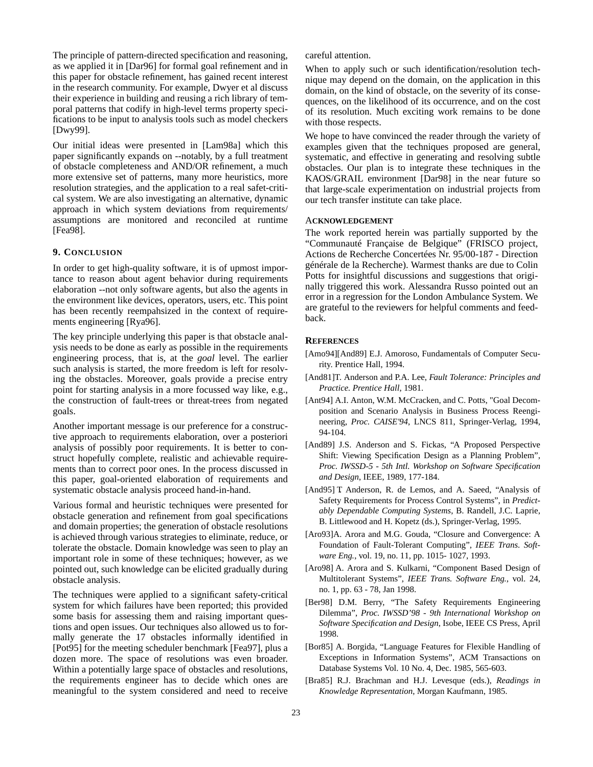The principle of pattern-directed specification and reasoning, as we applied it in [Dar96] for formal goal refinement and in this paper for obstacle refinement, has gained recent interest in the research community. For example, Dwyer et al discuss their experience in building and reusing a rich library of temporal patterns that codify in high-level terms property specifications to be input to analysis tools such as model checkers [Dwy99].

Our initial ideas were presented in [Lam98a] which this paper significantly expands on --notably, by a full treatment of obstacle completeness and AND/OR refinement, a much more extensive set of patterns, many more heuristics, more resolution strategies, and the application to a real safet-critical system. We are also investigating an alternative, dynamic approach in which system deviations from requirements/ assumptions are monitored and reconciled at runtime [Fea98].

# **9. CONCLUSION**

In order to get high-quality software, it is of upmost importance to reason about agent behavior during requirements elaboration --not only software agents, but also the agents in the environment like devices, operators, users, etc. This point has been recently reempahsized in the context of requirements engineering [Rya96].

The key principle underlying this paper is that obstacle analysis needs to be done as early as possible in the requirements engineering process, that is, at the *goal* level. The earlier such analysis is started, the more freedom is left for resolving the obstacles. Moreover, goals provide a precise entry point for starting analysis in a more focussed way like, e.g., the construction of fault-trees or threat-trees from negated goals.

Another important message is our preference for a constructive approach to requirements elaboration, over a posteriori analysis of possibly poor requirements. It is better to construct hopefully complete, realistic and achievable requirements than to correct poor ones. In the process discussed in this paper, goal-oriented elaboration of requirements and systematic obstacle analysis proceed hand-in-hand.

Various formal and heuristic techniques were presented for obstacle generation and refinement from goal specifications and domain properties; the generation of obstacle resolutions is achieved through various strategies to eliminate, reduce, or tolerate the obstacle. Domain knowledge was seen to play an important role in some of these techniques; however, as we pointed out, such knowledge can be elicited gradually during obstacle analysis.

The techniques were applied to a significant safety-critical system for which failures have been reported; this provided some basis for assessing them and raising important questions and open issues. Our techniques also allowed us to formally generate the 17 obstacles informally identified in [Pot95] for the meeting scheduler benchmark [Fea97], plus a dozen more. The space of resolutions was even broader. Within a potentially large space of obstacles and resolutions, the requirements engineer has to decide which ones are meaningful to the system considered and need to receive

careful attention.

When to apply such or such identification/resolution technique may depend on the domain, on the application in this domain, on the kind of obstacle, on the severity of its consequences, on the likelihood of its occurrence, and on the cost of its resolution. Much exciting work remains to be done with those respects.

We hope to have convinced the reader through the variety of examples given that the techniques proposed are general, systematic, and effective in generating and resolving subtle obstacles. Our plan is to integrate these techniques in the KAOS/GRAIL environment [Dar98] in the near future so that large-scale experimentation on industrial projects from our tech transfer institute can take place.

#### A**CKNOWLEDGEMENT**

The work reported herein was partially supported by the "Communauté Française de Belgique" (FRISCO project, Actions de Recherche Concertées Nr. 95/00-187 - Direction générale de la Recherche). Warmest thanks are due to Colin Potts for insightful discussions and suggestions that originally triggered this work. Alessandra Russo pointed out an error in a regression for the London Ambulance System. We are grateful to the reviewers for helpful comments and feedback.

# **REFERENCES**

- [Amo94][And89] E.J. Amoroso, Fundamentals of Computer Security. Prentice Hall, 1994.
- [And81]T. Anderson and P.A. Lee, *Fault Tolerance: Principles and Practice. Prentice Hall*, 1981.
- [Ant94] A.I. Anton, W.M. McCracken, and C. Potts, "Goal Decomposition and Scenario Analysis in Business Process Reengineering, *Proc. CAISE'94*, LNCS 811, Springer-Verlag, 1994, 94-104.
- [And89] J.S. Anderson and S. Fickas, "A Proposed Perspective Shift: Viewing Specification Design as a Planning Problem", *Proc. IWSSD-5 - 5th Intl. Workshop on Software Specification and Design*, IEEE, 1989, 177-184.
- [And95] T. Anderson, R. de Lemos, and A. Saeed, "Analysis of Safety Requirements for Process Control Systems", in *Predictably Dependable Computing Systems*, B. Randell, J.C. Laprie, B. Littlewood and H. Kopetz (ds.), Springer-Verlag, 1995.
- [Aro93]A. Arora and M.G. Gouda, "Closure and Convergence: A Foundation of Fault-Tolerant Computing", *IEEE Trans. Software Eng.*, vol. 19, no. 11, pp. 1015- 1027, 1993.
- [Aro98] A. Arora and S. Kulkarni, "Component Based Design of Multitolerant Systems", *IEEE Trans. Software Eng.*, vol. 24, no. 1, pp. 63 - 78, Jan 1998.
- [Ber98] D.M. Berry, "The Safety Requirements Engineering Dilemma", *Proc. IWSSD'98 - 9th International Workshop on Software Specification and Design*, Isobe, IEEE CS Press, April 1998.
- [Bor85] A. Borgida, "Language Features for Flexible Handling of Exceptions in Information Systems", ACM Transactions on Database Systems Vol. 10 No. 4, Dec. 1985, 565-603.
- [Bra85] R.J. Brachman and H.J. Levesque (eds.), *Readings in Knowledge Representation*, Morgan Kaufmann, 1985.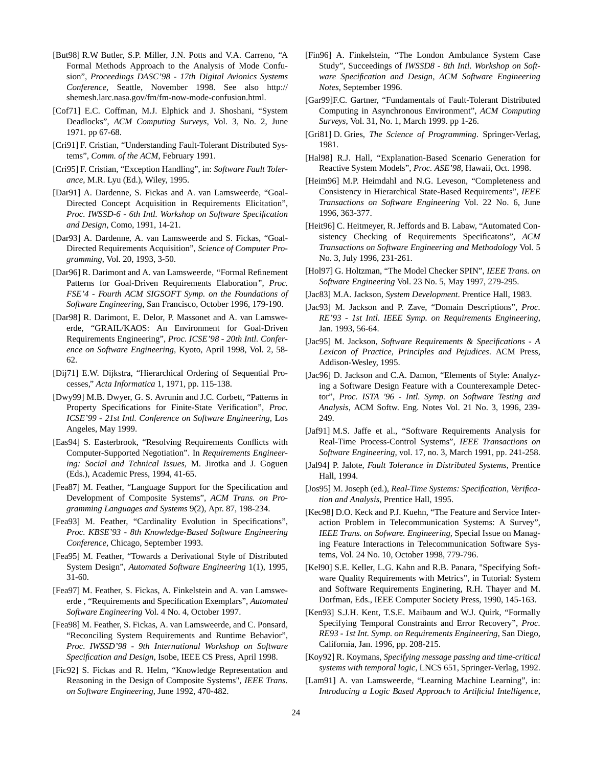- [But98] R.W. Butler, S.P. Miller, J.N. Potts and V.A. Carreno, "A Formal Methods Approach to the Analysis of Mode Confusion", *Proceedings DASC'98 - 17th Digital Avionics Systems Conference*, Seattle, November 1998. See also http:// shemesh.larc.nasa.gov/fm/fm-now-mode-confusion.html.
- [Cof71] E.C. Coffman, M.J. Elphick and J. Shoshani, "System Deadlocks", *ACM Computing Surveys*, Vol. 3, No. 2, June 1971. pp 67-68.
- [Cri91] F. Cristian, "Understanding Fault-Tolerant Distributed Systems", *Comm. of the ACM*, February 1991.
- [Cri95] F. Cristian, "Exception Handling", in: *Software Fault Tolerance*, M.R. Lyu (Ed.), Wiley, 1995.
- [Dar91] A. Dardenne, S. Fickas and A. van Lamsweerde, "Goal-Directed Concept Acquisition in Requirements Elicitation", *Proc. IWSSD-6 - 6th Intl. Workshop on Software Specification and Design*, Como, 1991, 14-21.
- [Dar93] A. Dardenne, A. van Lamsweerde and S. Fickas, "Goal-Directed Requirements Acquisition", *Science of Computer Programming*, Vol. 20, 1993, 3-50.
- [Dar96] R. Darimont and A. van Lamsweerde, *"*Formal Refinement Patterns for Goal-Driven Requirements Elaboration*"*, *Proc. FSE'4 - Fourth ACM SIGSOFT Symp. on the Foundations of Software Engineering*, San Francisco, October 1996, 179-190.
- [Dar98] R. Darimont, E. Delor, P. Massonet and A. van Lamsweerde, "GRAIL/KAOS: An Environment for Goal-Driven Requirements Engineering", *Proc. ICSE'98 - 20th Intl. Conference on Software Engineering*, Kyoto, April 1998, Vol. 2, 58- 62.
- [Dij71] E.W. Dijkstra, "Hierarchical Ordering of Sequential Processes," *Acta Informatica* 1, 1971, pp. 115-138.
- [Dwy99] M.B. Dwyer, G. S. Avrunin and J.C. Corbett, "Patterns in Property Specifications for Finite-State Verification", *Proc. ICSE'99 - 21st Intl. Conference on Software Engineering*, Los Angeles, May 1999.
- [Eas94] S. Easterbrook, "Resolving Requirements Conflicts with Computer-Supported Negotiation". In *Requirements Engineering: Social and Tchnical Issues*, M. Jirotka and J. Goguen (Eds.), Academic Press, 1994, 41-65.
- [Fea87] M. Feather, "Language Support for the Specification and Development of Composite Systems", *ACM Trans. on Programming Languages and Systems* 9(2), Apr. 87, 198-234.
- [Fea93] M. Feather, "Cardinality Evolution in Specifications", *Proc. KBSE'93 - 8th Knowledge-Based Software Engineering Conference*, Chicago, September 1993.
- [Fea95] M. Feather, "Towards a Derivational Style of Distributed System Design", *Automated Software Engineering* 1(1), 1995, 31-60.
- [Fea97] M. Feather, S. Fickas, A. Finkelstein and A. van Lamsweerde , "Requirements and Specification Exemplars", *Automated Software Engineering* Vol. 4 No. 4, October 1997.
- [Fea98] M. Feather, S. Fickas, A. van Lamsweerde, and C. Ponsard, "Reconciling System Requirements and Runtime Behavior", *Proc. IWSSD'98 - 9th International Workshop on Software Specification and Design*, Isobe, IEEE CS Press, April 1998.
- [Fic92] S. Fickas and R. Helm, "Knowledge Representation and Reasoning in the Design of Composite Systems", *IEEE Trans. on Software Engineering*, June 1992, 470-482.
- [Fin96] A. Finkelstein, "The London Ambulance System Case Study", Succeedings of *IWSSD8 - 8th Intl. Workshop on Software Specification and Design*, *ACM Software Engineering Notes,* September 1996.
- [Gar99]F.C. Gartner, "Fundamentals of Fault-Tolerant Distributed Computing in Asynchronous Environment", *ACM Computing Surveys*, Vol. 31, No. 1, March 1999. pp 1-26.
- [Gri81] D. Gries, *The Science of Programming*. Springer-Verlag, 1981.
- [Hal98] R.J. Hall, "Explanation-Based Scenario Generation for Reactive System Models", *Proc. ASE'98*, Hawaii, Oct. 1998.
- [Heim96] M.P. Heimdahl and N.G. Leveson, "Completeness and Consistency in Hierarchical State-Based Requirements", *IEEE Transactions on Software Engineering* Vol. 22 No. 6, June 1996, 363-377.
- [Heit96] C. Heitmeyer, R. Jeffords and B. Labaw, "Automated Consistency Checking of Requirements Specificatons", *ACM Transactions on Software Engineering and Methodology* Vol. 5 No. 3, July 1996, 231-261.
- [Hol97] G. Holtzman, "The Model Checker SPIN", *IEEE Trans. on Software Engineering* Vol. 23 No. 5, May 1997, 279-295.
- [Jac83] M.A. Jackson, *System Development*. Prentice Hall, 1983.
- [Jac93] M. Jackson and P. Zave, "Domain Descriptions", *Proc. RE'93 - 1st Intl. IEEE Symp. on Requirements Engineering*, Jan. 1993, 56-64.
- [Jac95] M. Jackson, *Software Requirements & Specifications A Lexicon of Practice, Principles and Pejudices*. ACM Press, Addison-Wesley, 1995.
- [Jac96] D. Jackson and C.A. Damon, "Elements of Style: Analyzing a Software Design Feature with a Counterexample Detector", *Proc. ISTA '96 - Intl. Symp. on Software Testing and Analysis*, ACM Softw. Eng. Notes Vol. 21 No. 3, 1996, 239- 249.
- [Jaf91] M.S. Jaffe et al., "Software Requirements Analysis for Real-Time Process-Control Systems", *IEEE Transactions on Software Engineering*, vol. 17, no. 3, March 1991, pp. 241-258.
- [Jal94] P. Jalote, *Fault Tolerance in Distributed Systems*, Prentice Hall, 1994.
- [Jos95] M. Joseph (ed.), *Real-Time Systems: Specification, Verification and Analysis*, Prentice Hall, 1995.
- [Kec98] D.O. Keck and P.J. Kuehn, "The Feature and Service Interaction Problem in Telecommunication Systems: A Survey", *IEEE Trans. on Sofware. Engineering,* Special Issue on Managing Feature Interactions in Telecommunication Software Systems, Vol. 24 No. 10, October 1998, 779-796.
- [Kel90] S.E. Keller, L.G. Kahn and R.B. Panara, "Specifying Software Quality Requirements with Metrics", in Tutorial: System and Software Requirements Enginering, R.H. Thayer and M. Dorfman, Eds., IEEE Computer Society Press, 1990, 145-163.
- [Ken93] S.J.H. Kent, T.S.E. Maibaum and W.J. Quirk, "Formally Specifying Temporal Constraints and Error Recovery", *Proc. RE93 - 1st Int. Symp. on Requirements Engineering*, San Diego, California, Jan. 1996, pp. 208-215.
- [Koy92] R. Koymans, *Specifying message passing and time-critical systems with temporal logic,* LNCS 651, Springer-Verlag, 1992.
- [Lam91] A. van Lamsweerde, "Learning Machine Learning", in: *Introducing a Logic Based Approach to Artificial Intelligence*,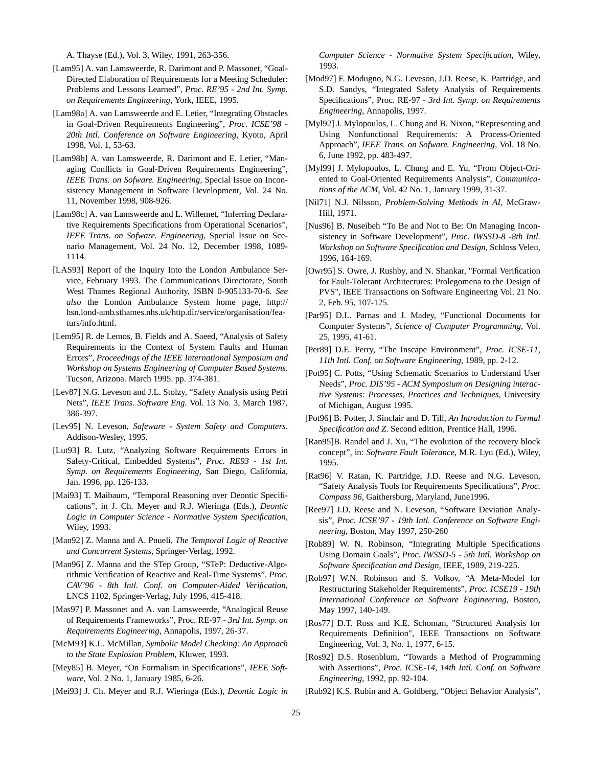A. Thayse (Ed.), Vol. 3, Wiley, 1991, 263-356.

- [Lam95] A. van Lamsweerde, R. Darimont and P. Massonet, "Goal-Directed Elaboration of Requirements for a Meeting Scheduler: Problems and Lessons Learned", *Proc. RE'95 - 2nd Int. Symp. on Requirements Engineering*, York, IEEE, 1995*.*
- [Lam98a] A. van Lamsweerde and E. Letier, "Integrating Obstacles in Goal-Driven Requirements Engineering", *Proc. ICSE'98 - 20th Intl. Conference on Software Engineering*, Kyoto, April 1998, Vol. 1, 53-63.
- [Lam98b] A. van Lamsweerde, R. Darimont and E. Letier, "Managing Conflicts in Goal-Driven Requirements Engineering", *IEEE Trans. on Sofware. Engineering,* Special Issue on Inconsistency Management in Software Development, Vol. 24 No. 11, November 1998, 908-926.
- [Lam98c] A. van Lamsweerde and L. Willemet, "Inferring Declarative Requirements Specifications from Operational Scenarios", *IEEE Trans. on Sofware. Engineering,* Special Issue on Scenario Management, Vol. 24 No. 12, December 1998, 1089- 1114.
- [LAS93] Report of the Inquiry Into the London Ambulance Service, February 1993. The Communications Directorate, South West Thames Regional Authority, ISBN 0-905133-70-6. *See also* the London Ambulance System home page, http:// hsn.lond-amb.sthames.nhs.uk/http.dir/service/organisation/featurs/info.html.
- [Lem95] R. de Lemos, B. Fields and A. Saeed, "Analysis of Safety Requirements in the Context of System Faults and Human Errors", *Proceedings of the IEEE International Symposium and Workshop on Systems Engineering of Computer Based Systems*. Tucson, Arizona. March 1995. pp. 374-381.
- [Lev87] N.G. Leveson and J.L. Stolzy, "Safety Analysis using Petri Nets", *IEEE Trans. Software Eng*. Vol. 13 No. 3, March 1987, 386-397.
- [Lev95] N. Leveson, *Safeware System Safety and Computers*. Addison-Wesley, 1995.
- [Lut93] R. Lutz, "Analyzing Software Requirements Errors in Safety-Critical, Embedded Systems", *Proc. RE93 - 1st Int. Symp. on Requirements Engineering*, San Diego, California, Jan. 1996, pp. 126-133.
- [Mai93] T. Maibaum, "Temporal Reasoning over Deontic Specifications", in J. Ch. Meyer and R.J. Wieringa (Eds.), *Deontic Logic in Computer Science - Normative System Specification*, Wiley, 1993.
- [Man92] Z. Manna and A. Pnueli, *The Temporal Logic of Reactive and Concurrent Systems,* Springer-Verlag, 1992.
- [Man96] Z. Manna and the STep Group, "STeP: Deductive-Algorithmic Verification of Reactive and Real-Time Systems", *Proc. CAV'96 - 8th Intl. Conf. on Computer-Aided Verification*, LNCS 1102, Springer-Verlag, July 1996, 415-418.
- [Mas97] P. Massonet and A. van Lamsweerde, "Analogical Reuse of Requirements Frameworks", Proc. RE-97 - *3rd Int. Symp. on Requirements Engineering*, Annapolis, 1997, 26-37.
- [McM93] K.L. McMillan, *Symbolic Model Checking: An Approach to the State Explosion Problem*, Kluwer, 1993.
- [Mey85] B. Meyer, "On Formalism in Specifications", *IEEE Software*, Vol. 2 No. 1, January 1985, 6-26.
- [Mei93] J. Ch. Meyer and R.J. Wieringa (Eds.), *Deontic Logic in*

*Computer Science - Normative System Specification*, Wiley, 1993.

- [Mod97] F. Modugno, N.G. Leveson, J.D. Reese, K. Partridge, and S.D. Sandys, "Integrated Safety Analysis of Requirements Specifications", Proc. RE-97 - *3rd Int. Symp. on Requirements Engineering*, Annapolis, 1997.
- [Myl92] J. Mylopoulos, L. Chung and B. Nixon, "Representing and Using Nonfunctional Requirements: A Process-Oriented Approach", *IEEE Trans. on Sofware. Engineering*, Vol. 18 No. 6, June 1992, pp. 483-497.
- [Myl99] J. Mylopoulos, L. Chung and E. Yu, "From Object-Oriented to Goal-Oriented Requirements Analysis", *Communications of the ACM*, Vol. 42 No. 1, January 1999, 31-37.
- [Nil71] N.J. Nilsson, *Problem-Solving Methods in AI*, McGraw-Hill, 1971.
- [Nus96] B. Nuseibeh "To Be and Not to Be: On Managing Inconsistency in Software Development", *Proc. IWSSD-8 -8th Intl. Workshop on Software Specification and Design*, Schloss Velen, 1996, 164-169.
- [Owr95] S. Owre, J. Rushby, and N. Shankar, "Formal Verification for Fault-Tolerant Architectures: Prolegomena to the Design of PVS", IEEE Transactions on Software Engineering Vol. 21 No. 2, Feb. 95, 107-125.
- [Par95] D.L. Parnas and J. Madey, "Functional Documents for Computer Systems", *Science of Computer Programming,* Vol. 25, 1995, 41-61.
- [Per89] D.E. Perry, "The Inscape Environment", *Proc. ICSE-11, 11th Intl. Conf. on Software Engineering*, 1989, pp. 2-12.
- [Pot95] C. Potts, "Using Schematic Scenarios to Understand User Needs", *Proc. DIS'95 - ACM Symposium on Designing interactive Systems: Processes, Practices and Techniques*, University of Michigan, August 1995.
- [Pot96] B. Potter, J. Sinclair and D. Till, *An Introduction to Formal Specification and Z*. Second edition, Prentice Hall, 1996.
- [Ran95]B. Randel and J. Xu, "The evolution of the recovery block concept", in: *Software Fault Tolerance*, M.R. Lyu (Ed.), Wiley, 1995.
- [Rat96] V. Ratan, K. Partridge, J.D. Reese and N.G. Leveson, "Safety Analysis Tools for Requirements Specifications", *Proc. Compass 96*, Gaithersburg, Maryland, June1996.
- [Ree97] J.D. Reese and N. Leveson, "Software Deviation Analysis", *Proc. ICSE'97 - 19th Intl. Conference on Software Engineering*, Boston, May 1997, 250-260
- [Rob89] W. N. Robinson, "Integrating Multiple Specifications Using Domain Goals", *Proc. IWSSD-5 - 5th Intl. Workshop on Software Specification and Design*, IEEE, 1989, 219-225.
- [Rob97] W.N. Robinson and S. Volkov, "A Meta-Model for Restructuring Stakeholder Requirements", *Proc. ICSE19 - 19th International Conference on Software Engineering*, Boston, May 1997, 140-149.
- [Ros77] D.T. Ross and K.E. Schoman, "Structured Analysis for Requirements Definition", IEEE Transactions on Software Engineering, Vol. 3, No. 1, 1977, 6-15.
- [Ros92] D.S. Rosenblum, "Towards a Method of Programming with Assertions", *Proc. ICSE-14, 14th Intl. Conf. on Software Engineering*, 1992, pp. 92-104.
- [Rub92] K.S. Rubin and A. Goldberg, "Object Behavior Analysis",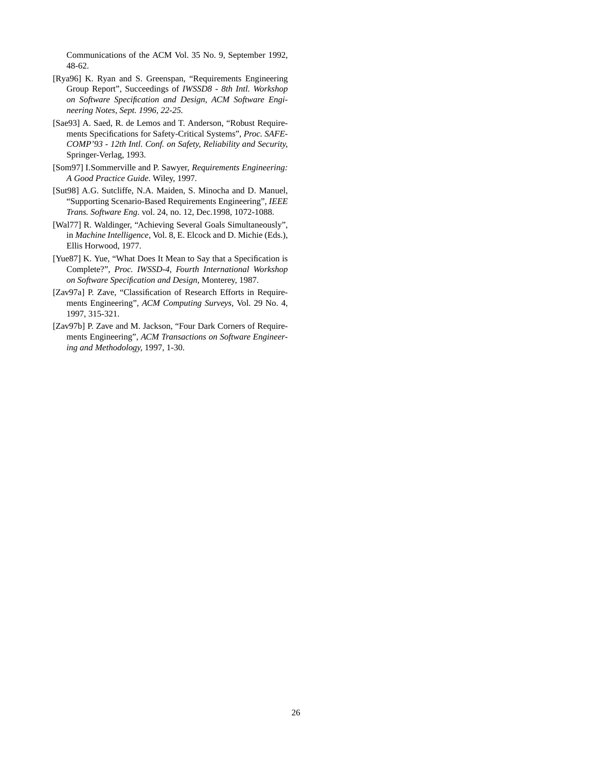Communications of the ACM Vol. 35 No. 9, September 1992, 48-62.

- [Rya96] K. Ryan and S. Greenspan, "Requirements Engineering Group Report", Succeedings of *IWSSD8 - 8th Intl. Workshop on Software Specification and Design*, *ACM Software Engineering Notes, Sept. 1996, 22-25.*
- [Sae93] A. Saed, R. de Lemos and T. Anderson, "Robust Requirements Specifications for Safety-Critical Systems", *Proc. SAFE-COMP'93 - 12th Intl. Conf. on Safety, Reliability and Security*, Springer-Verlag, 1993.
- [Som97] I.Sommerville and P. Sawyer, *Requirements Engineering: A Good Practice Guide*. Wiley, 1997.
- [Sut98] A.G. Sutcliffe, N.A. Maiden, S. Minocha and D. Manuel, "Supporting Scenario-Based Requirements Engineering", *IEEE Trans. Software Eng*. vol. 24, no. 12, Dec.1998, 1072-1088.
- [Wal77] R. Waldinger, "Achieving Several Goals Simultaneously", in *Machine Intelligence*, Vol. 8, E. Elcock and D. Michie (Eds.), Ellis Horwood, 1977.
- [Yue87] K. Yue, "What Does It Mean to Say that a Specification is Complete?", *Proc. IWSSD-4, Fourth International Workshop on Software Specification and Design*, Monterey, 1987.
- [Zav97a] P. Zave, "Classification of Research Efforts in Requirements Engineering", *ACM Computing Surveys*, Vol. 29 No. 4, 1997, 315-321.
- [Zav97b] P. Zave and M. Jackson, "Four Dark Corners of Requirements Engineering", *ACM Transactions on Software Engineering and Methodology*, 1997, 1-30.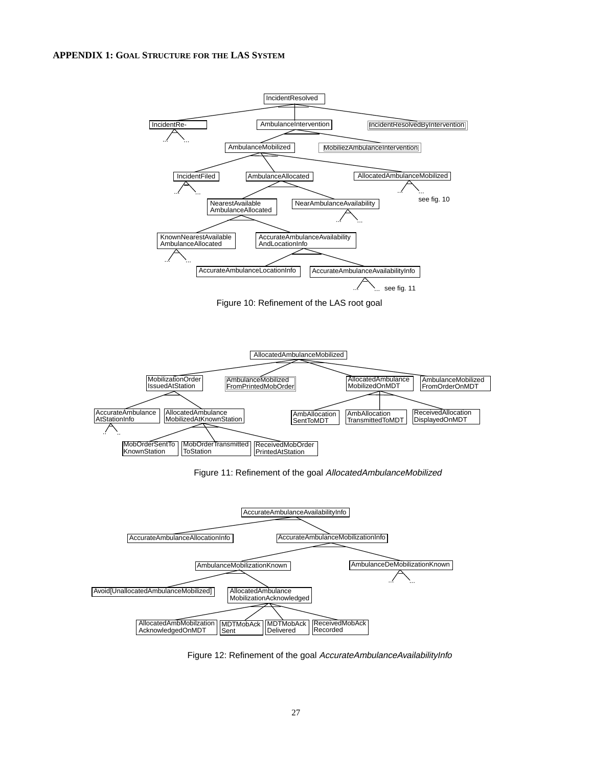# **APPENDIX 1: GOAL STRUCTURE FOR THE LAS SYSTEM**



Figure 10: Refinement of the LAS root goal







Figure 12: Refinement of the goal AccurateAmbulanceAvailabilityInfo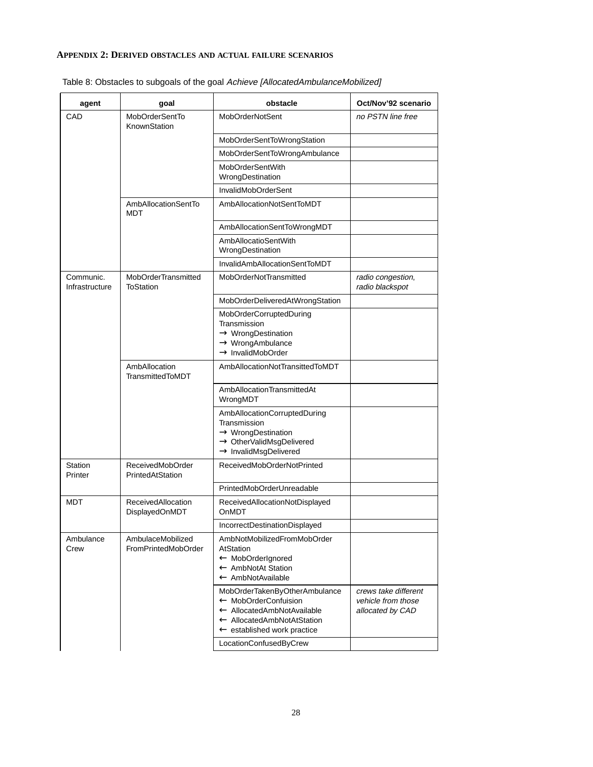# **APPENDIX 2: DERIVED OBSTACLES AND ACTUAL FAILURE SCENARIOS**

| agent                       | goal                                           | obstacle                                                                                                                                                                   | Oct/Nov'92 scenario                                            |
|-----------------------------|------------------------------------------------|----------------------------------------------------------------------------------------------------------------------------------------------------------------------------|----------------------------------------------------------------|
| CAD                         | <b>MobOrderSentTo</b><br>KnownStation          | <b>MobOrderNotSent</b>                                                                                                                                                     | no PSTN line free                                              |
|                             |                                                | MobOrderSentToWrongStation                                                                                                                                                 |                                                                |
|                             |                                                | MobOrderSentToWrongAmbulance                                                                                                                                               |                                                                |
|                             |                                                | MobOrderSentWith<br>WrongDestination                                                                                                                                       |                                                                |
|                             |                                                | InvalidMobOrderSent                                                                                                                                                        |                                                                |
|                             | AmbAllocationSentTo<br>MDT                     | AmbAllocationNotSentToMDT                                                                                                                                                  |                                                                |
|                             |                                                | AmbAllocationSentToWrongMDT                                                                                                                                                |                                                                |
|                             |                                                | AmbAllocatioSentWith<br>WrongDestination                                                                                                                                   |                                                                |
|                             |                                                | InvalidAmbAllocationSentToMDT                                                                                                                                              |                                                                |
| Communic.<br>Infrastructure | <b>MobOrderTransmitted</b><br><b>ToStation</b> | <b>MobOrderNotTransmitted</b>                                                                                                                                              | radio congestion,<br>radio blackspot                           |
|                             |                                                | MobOrderDeliveredAtWrongStation                                                                                                                                            |                                                                |
|                             |                                                | MobOrderCorruptedDuring<br>Transmission<br>$\rightarrow$ WrongDestination<br>$\rightarrow$ WrongAmbulance<br>$\rightarrow$ InvalidMobOrder                                 |                                                                |
|                             | AmbAllocation<br><b>TransmittedToMDT</b>       | AmbAllocationNotTransittedToMDT                                                                                                                                            |                                                                |
|                             |                                                | AmbAllocationTransmittedAt<br>WrongMDT                                                                                                                                     |                                                                |
|                             |                                                | AmbAllocationCorruptedDuring<br>Transmission<br>$\rightarrow$ WrongDestination<br>$\rightarrow$ OtherValidMsgDelivered<br>$\rightarrow$ InvalidMsgDelivered                |                                                                |
| Station<br>Printer          | ReceivedMobOrder<br>PrintedAtStation           | ReceivedMobOrderNotPrinted                                                                                                                                                 |                                                                |
|                             |                                                | PrintedMobOrderUnreadable                                                                                                                                                  |                                                                |
| <b>MDT</b>                  | ReceivedAllocation<br>DisplayedOnMDT           | ReceivedAllocationNotDisplayed<br>OnMDT                                                                                                                                    |                                                                |
|                             |                                                | IncorrectDestinationDisplayed                                                                                                                                              |                                                                |
| Ambulance<br>Crew           | AmbulaceMobilized<br>FromPrintedMobOrder       | AmbNotMobilizedFromMobOrder<br>AtStation<br>← MobOrderIgnored<br>← AmbNotAt Station<br>← AmbNotAvailable                                                                   |                                                                |
|                             |                                                | MobOrderTakenByOtherAmbulance<br>← MobOrderConfuision<br>← AllocatedAmbNotAvailable<br>← AllocatedAmbNotAtStation<br>← established work practice<br>LocationConfusedByCrew | crews take different<br>vehicle from those<br>allocated by CAD |
|                             |                                                |                                                                                                                                                                            |                                                                |

# Table 8: Obstacles to subgoals of the goal Achieve [AllocatedAmbulanceMobilized]